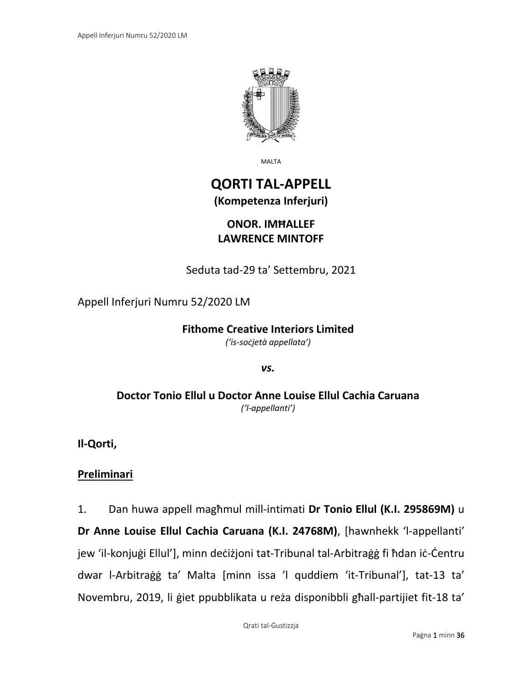

MALTA

# **QORTI TAL-APPELL (Kompetenza Inferjuri)**

## **ONOR. IMĦALLEF LAWRENCE MINTOFF**

Seduta tad-29 ta' Settembru, 2021

### Appell Inferjuri Numru 52/2020 LM

#### **Fithome Creative Interiors Limited** *('is-soċjetà appellata')*

*vs.*

### **Doctor Tonio Ellul u Doctor Anne Louise Ellul Cachia Caruana** *('l-appellanti')*

**Il-Qorti,**

### **Preliminari**

1. Dan huwa appell magħmul mill-intimati **Dr Tonio Ellul (K.I. 295869M)** u **Dr Anne Louise Ellul Cachia Caruana (K.I. 24768M)**, [hawnhekk 'l-appellanti' jew 'il-konjuġi Ellul'], minn deċiżjoni tat-Tribunal tal-Arbitraġġ fi ħdan iċ-Ċentru dwar l-Arbitraġġ ta' Malta [minn issa 'l quddiem 'it-Tribunal'], tat-13 ta' Novembru, 2019, li ġiet ppubblikata u reża disponibbli għall-partijiet fit-18 ta'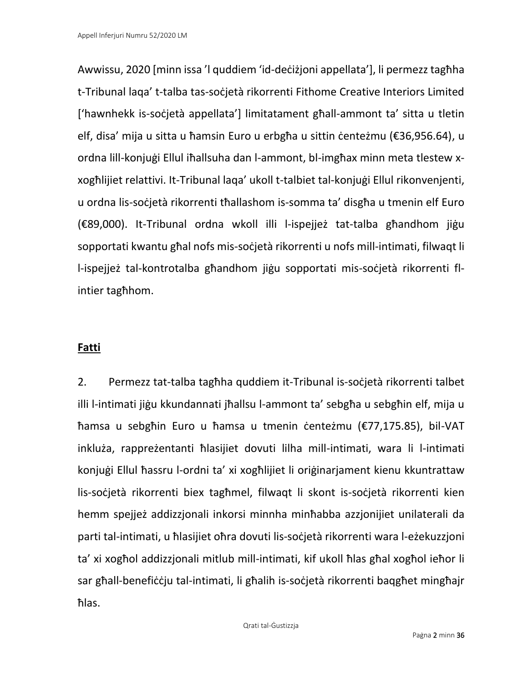Awwissu, 2020 [minn issa 'l quddiem 'id-deċiżjoni appellata'], li permezz tagħha t-Tribunal laqa' t-talba tas-soċjetà rikorrenti Fithome Creative Interiors Limited ['hawnhekk is-soċjetà appellata'] limitatament għall-ammont ta' sitta u tletin elf, disa' mija u sitta u ħamsin Euro u erbgħa u sittin centeżmu (€36,956.64), u ordna lill-konjuġi Ellul iħallsuha dan l-ammont, bl-imgħax minn meta tlestew xxogħlijiet relattivi. It-Tribunal laqa' ukoll t-talbiet tal-konjuġi Ellul rikonvenjenti, u ordna lis-soċjetà rikorrenti tħallashom is-somma ta' disgħa u tmenin elf Euro (€89,000). It-Tribunal ordna wkoll illi l-ispejjeż tat-talba għandhom jiġu sopportati kwantu għal nofs mis-soċjetà rikorrenti u nofs mill-intimati, filwaqt li l-ispejjeż tal-kontrotalba għandhom jiġu sopportati mis-soċjetà rikorrenti flintier tagħhom.

## **Fatti**

2. Permezz tat-talba tagħha quddiem it-Tribunal is-soċjetà rikorrenti talbet illi l-intimati jiġu kkundannati jħallsu l-ammont ta' sebgħa u sebgħin elf, mija u ħamsa u sebgħin Euro u ħamsa u tmenin ċenteżmu (€77,175.85), bil-VAT inkluża, rappreżentanti ħlasijiet dovuti lilha mill-intimati, wara li l-intimati konjuġi Ellul ħassru l-ordni ta' xi xogħlijiet li oriġinarjament kienu kkuntrattaw lis-soċjetà rikorrenti biex tagħmel, filwaqt li skont is-soċjetà rikorrenti kien hemm spejjeż addizzjonali inkorsi minnha minħabba azzjonijiet unilaterali da parti tal-intimati, u ħlasijiet oħra dovuti lis-soċjetà rikorrenti wara l-eżekuzzjoni ta' xi xogħol addizzjonali mitlub mill-intimati, kif ukoll ħlas għal xogħol ieħor li sar għall-benefiċċju tal-intimati, li għalih is-soċjetà rikorrenti baqgħet mingħajr ħlas.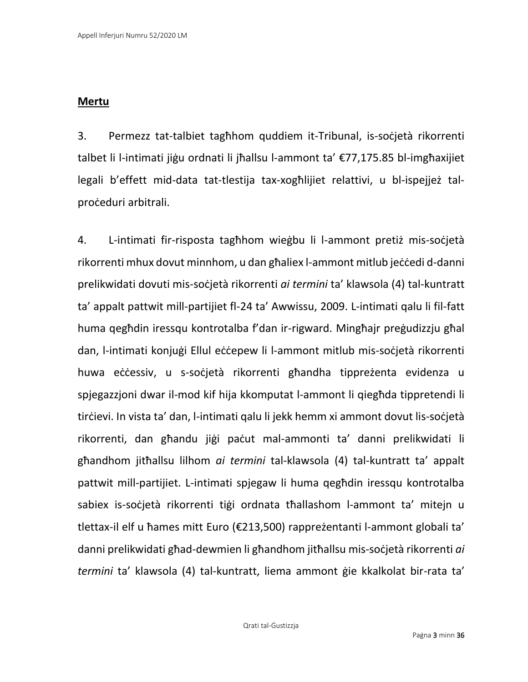### **Mertu**

3. Permezz tat-talbiet tagħhom quddiem it-Tribunal, is-soċjetà rikorrenti talbet li l-intimati jiġu ordnati li jħallsu l-ammont ta' €77,175.85 bl-imgħaxijiet legali b'effett mid-data tat-tlestija tax-xogħlijiet relattivi, u bl-ispejjeż talproċeduri arbitrali.

4. L-intimati fir-risposta tagħhom wieġbu li l-ammont pretiż mis-soċjetà rikorrenti mhux dovut minnhom, u dan għaliex l-ammont mitlub jeċċedi d-danni prelikwidati dovuti mis-soċjetà rikorrenti *ai termini* ta' klawsola (4) tal-kuntratt ta' appalt pattwit mill-partijiet fl-24 ta' Awwissu, 2009. L-intimati qalu li fil-fatt huma qegħdin iressqu kontrotalba f'dan ir-rigward. Mingħajr preġudizzju għal dan, l-intimati konjuġi Ellul eċċepew li l-ammont mitlub mis-soċjetà rikorrenti huwa eċċessiv, u s-soċjetà rikorrenti għandha tippreżenta evidenza u spjegazzjoni dwar il-mod kif hija kkomputat l-ammont li qiegħda tippretendi li tirċievi. In vista ta' dan, l-intimati qalu li jekk hemm xi ammont dovut lis-soċjetà rikorrenti, dan għandu jiġi paċut mal-ammonti ta' danni prelikwidati li għandhom jitħallsu lilhom *ai termini* tal-klawsola (4) tal-kuntratt ta' appalt pattwit mill-partijiet. L-intimati spjegaw li huma qegħdin iressqu kontrotalba sabiex is-soċjetà rikorrenti tiġi ordnata tħallashom l-ammont ta' mitejn u tlettax-il elf u ħames mitt Euro (€213,500) rappreżentanti l-ammont globali ta' danni prelikwidati għad-dewmien li għandhom jitħallsu mis-soċjetà rikorrenti *ai termini* ta' klawsola (4) tal-kuntratt, liema ammont ġie kkalkolat bir-rata ta'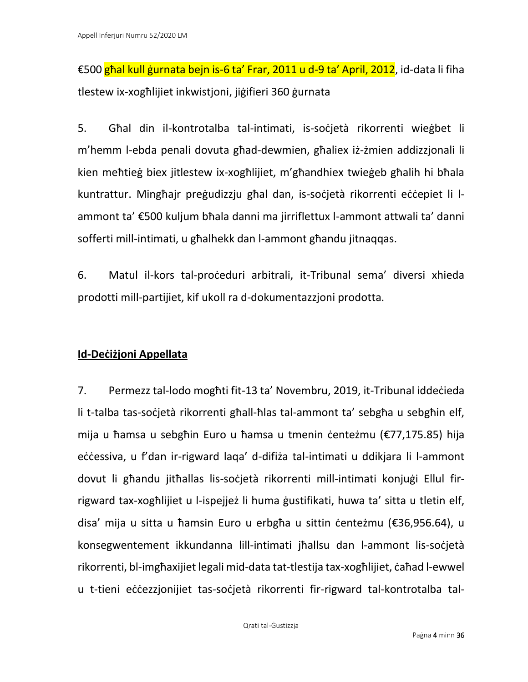€500 għal kull ġurnata bejn is-6 ta' Frar, 2011 u d-9 ta' April, 2012, id-data li fiha tlestew ix-xogħlijiet inkwistjoni, jiġifieri 360 ġurnata

5. Għal din il-kontrotalba tal-intimati, is-soċjetà rikorrenti wieġbet li m'hemm l-ebda penali dovuta għad-dewmien, għaliex iż-żmien addizzjonali li kien meħtieġ biex jitlestew ix-xogħlijiet, m'għandhiex twieġeb għalih hi bħala kuntrattur. Mingħajr preġudizzju għal dan, is-soċjetà rikorrenti eċċepiet li lammont ta' €500 kuljum bħala danni ma jirriflettux l-ammont attwali ta' danni sofferti mill-intimati, u għalhekk dan l-ammont għandu jitnaqqas.

6. Matul il-kors tal-proċeduri arbitrali, it-Tribunal sema' diversi xhieda prodotti mill-partijiet, kif ukoll ra d-dokumentazzjoni prodotta.

## **Id-Deċiżjoni Appellata**

7. Permezz tal-lodo mogħti fit-13 ta' Novembru, 2019, it-Tribunal iddeċieda li t-talba tas-soċjetà rikorrenti għall-ħlas tal-ammont ta' sebgħa u sebgħin elf, mija u ħamsa u sebgħin Euro u ħamsa u tmenin ċenteżmu (€77,175.85) hija eċċessiva, u f'dan ir-rigward laga' d-difiża tal-intimati u ddikjara li l-ammont dovut li għandu jitħallas lis-soċjetà rikorrenti mill-intimati konjuġi Ellul firrigward tax-xogħlijiet u l-ispejjeż li huma ġustifikati, huwa ta' sitta u tletin elf, disa' mija u sitta u ħamsin Euro u erbgħa u sittin ċenteżmu (€36,956.64), u konsegwentement ikkundanna lill-intimati jħallsu dan l-ammont lis-soċjetà rikorrenti, bl-imgħaxijiet legali mid-data tat-tlestija tax-xogħlijiet, ċaħad l-ewwel u t-tieni eċċezzjonijiet tas-soċjetà rikorrenti fir-rigward tal-kontrotalba tal-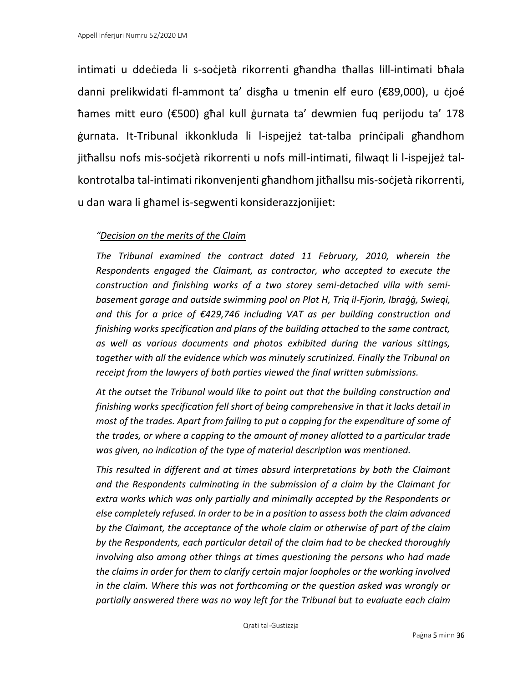intimati u ddeċieda li s-soċjetà rikorrenti għandha tħallas lill-intimati bħala danni prelikwidati fl-ammont ta' disgħa u tmenin elf euro (€89,000), u ċjoé ħames mitt euro (€500) għal kull ġurnata ta' dewmien fuq perijodu ta' 178 ġurnata. It-Tribunal ikkonkluda li l-ispejjeż tat-talba prinċipali għandhom jitħallsu nofs mis-soċjetà rikorrenti u nofs mill-intimati, filwaqt li l-ispejjeż talkontrotalba tal-intimati rikonvenjenti għandhom jitħallsu mis-soċjetà rikorrenti, u dan wara li għamel is-segwenti konsiderazzjonijiet:

#### *"Decision on the merits of the Claim*

*The Tribunal examined the contract dated 11 February, 2010, wherein the Respondents engaged the Claimant, as contractor, who accepted to execute the construction and finishing works of a two storey semi-detached villa with semibasement garage and outside swimming pool on Plot H, Triq il-Fjorin, Ibraġġ, Swieqi, and this for a price of €429,746 including VAT as per building construction and finishing works specification and plans of the building attached to the same contract, as well as various documents and photos exhibited during the various sittings, together with all the evidence which was minutely scrutinized. Finally the Tribunal on receipt from the lawyers of both parties viewed the final written submissions.*

*At the outset the Tribunal would like to point out that the building construction and finishing works specification fell short of being comprehensive in that it lacks detail in most of the trades. Apart from failing to put a capping for the expenditure of some of the trades, or where a capping to the amount of money allotted to a particular trade was given, no indication of the type of material description was mentioned.*

*This resulted in different and at times absurd interpretations by both the Claimant and the Respondents culminating in the submission of a claim by the Claimant for extra works which was only partially and minimally accepted by the Respondents or else completely refused. In order to be in a position to assess both the claim advanced by the Claimant, the acceptance of the whole claim or otherwise of part of the claim by the Respondents, each particular detail of the claim had to be checked thoroughly involving also among other things at times questioning the persons who had made the claims in order for them to clarify certain major loopholes or the working involved in the claim. Where this was not forthcoming or the question asked was wrongly or partially answered there was no way left for the Tribunal but to evaluate each claim*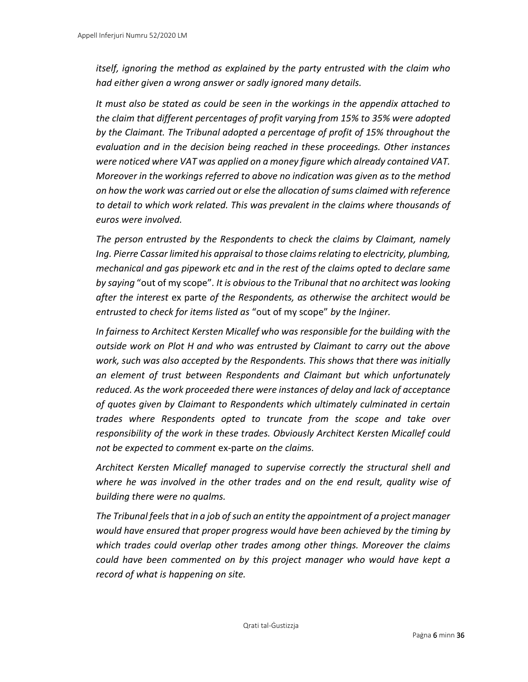*itself, ignoring the method as explained by the party entrusted with the claim who had either given a wrong answer or sadly ignored many details.*

*It must also be stated as could be seen in the workings in the appendix attached to the claim that different percentages of profit varying from 15% to 35% were adopted by the Claimant. The Tribunal adopted a percentage of profit of 15% throughout the evaluation and in the decision being reached in these proceedings. Other instances were noticed where VAT was applied on a money figure which already contained VAT. Moreover in the workings referred to above no indication was given as to the method on how the work was carried out or else the allocation of sums claimed with reference to detail to which work related. This was prevalent in the claims where thousands of euros were involved.*

*The person entrusted by the Respondents to check the claims by Claimant, namely Ing. Pierre Cassar limited his appraisal to those claims relating to electricity, plumbing, mechanical and gas pipework etc and in the rest of the claims opted to declare same by saying* "out of my scope"*. It is obvious to the Tribunal that no architect was looking after the interest* ex parte *of the Respondents, as otherwise the architect would be entrusted to check for items listed as* "out of my scope" *by the Inġiner.*

*In fairness to Architect Kersten Micallef who was responsible for the building with the outside work on Plot H and who was entrusted by Claimant to carry out the above work, such was also accepted by the Respondents. This shows that there was initially an element of trust between Respondents and Claimant but which unfortunately reduced. As the work proceeded there were instances of delay and lack of acceptance of quotes given by Claimant to Respondents which ultimately culminated in certain trades where Respondents opted to truncate from the scope and take over responsibility of the work in these trades. Obviously Architect Kersten Micallef could not be expected to comment* ex-parte *on the claims.*

*Architect Kersten Micallef managed to supervise correctly the structural shell and where he was involved in the other trades and on the end result, quality wise of building there were no qualms.*

*The Tribunal feels that in a job of such an entity the appointment of a project manager would have ensured that proper progress would have been achieved by the timing by which trades could overlap other trades among other things. Moreover the claims could have been commented on by this project manager who would have kept a record of what is happening on site.*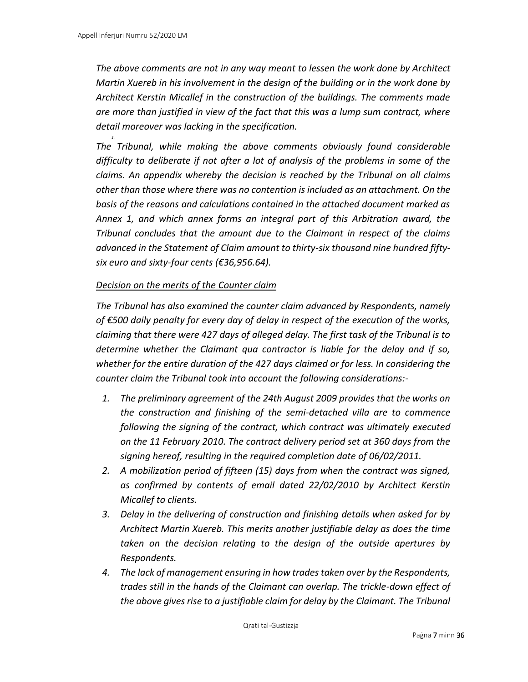*1.*

*The above comments are not in any way meant to lessen the work done by Architect Martin Xuereb in his involvement in the design of the building or in the work done by Architect Kerstin Micallef in the construction of the buildings. The comments made are more than justified in view of the fact that this was a lump sum contract, where detail moreover was lacking in the specification.*

*The Tribunal, while making the above comments obviously found considerable difficulty to deliberate if not after a lot of analysis of the problems in some of the claims. An appendix whereby the decision is reached by the Tribunal on all claims other than those where there was no contention is included as an attachment. On the basis of the reasons and calculations contained in the attached document marked as Annex 1, and which annex forms an integral part of this Arbitration award, the Tribunal concludes that the amount due to the Claimant in respect of the claims advanced in the Statement of Claim amount to thirty-six thousand nine hundred fiftysix euro and sixty-four cents (€36,956.64).*

#### *Decision on the merits of the Counter claim*

*The Tribunal has also examined the counter claim advanced by Respondents, namely of €500 daily penalty for every day of delay in respect of the execution of the works, claiming that there were 427 days of alleged delay. The first task of the Tribunal is to determine whether the Claimant qua contractor is liable for the delay and if so, whether for the entire duration of the 427 days claimed or for less. In considering the counter claim the Tribunal took into account the following considerations:-*

- *1. The preliminary agreement of the 24th August 2009 provides that the works on the construction and finishing of the semi-detached villa are to commence following the signing of the contract, which contract was ultimately executed on the 11 February 2010. The contract delivery period set at 360 days from the signing hereof, resulting in the required completion date of 06/02/2011.*
- *2. A mobilization period of fifteen (15) days from when the contract was signed, as confirmed by contents of email dated 22/02/2010 by Architect Kerstin Micallef to clients.*
- *3. Delay in the delivering of construction and finishing details when asked for by Architect Martin Xuereb. This merits another justifiable delay as does the time taken on the decision relating to the design of the outside apertures by Respondents.*
- *4. The lack of management ensuring in how trades taken over by the Respondents, trades still in the hands of the Claimant can overlap. The trickle-down effect of the above gives rise to a justifiable claim for delay by the Claimant. The Tribunal*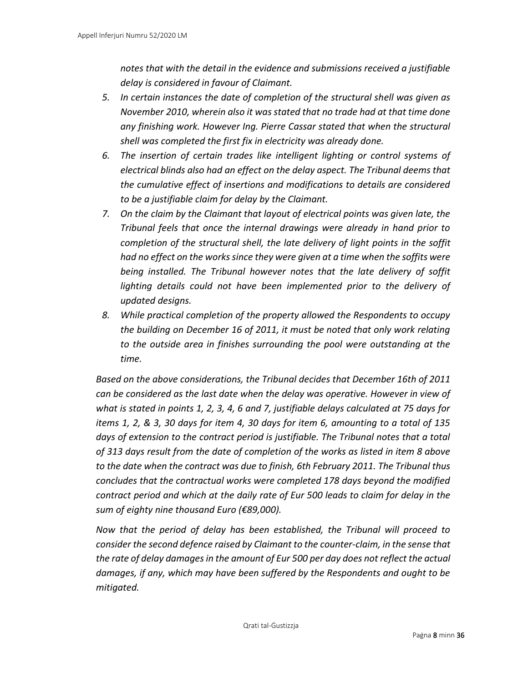*notes that with the detail in the evidence and submissions received a justifiable delay is considered in favour of Claimant.*

- *5. In certain instances the date of completion of the structural shell was given as November 2010, wherein also it was stated that no trade had at that time done any finishing work. However Ing. Pierre Cassar stated that when the structural shell was completed the first fix in electricity was already done.*
- *6. The insertion of certain trades like intelligent lighting or control systems of electrical blinds also had an effect on the delay aspect. The Tribunal deems that the cumulative effect of insertions and modifications to details are considered to be a justifiable claim for delay by the Claimant.*
- *7. On the claim by the Claimant that layout of electrical points was given late, the Tribunal feels that once the internal drawings were already in hand prior to completion of the structural shell, the late delivery of light points in the soffit had no effect on the works since they were given at a time when the soffits were being installed. The Tribunal however notes that the late delivery of soffit*  lighting details could not have been implemented prior to the delivery of *updated designs.*
- *8. While practical completion of the property allowed the Respondents to occupy the building on December 16 of 2011, it must be noted that only work relating to the outside area in finishes surrounding the pool were outstanding at the time.*

*Based on the above considerations, the Tribunal decides that December 16th of 2011 can be considered as the last date when the delay was operative. However in view of what is stated in points 1, 2, 3, 4, 6 and 7, justifiable delays calculated at 75 days for items 1, 2, & 3, 30 days for item 4, 30 days for item 6, amounting to a total of 135 days of extension to the contract period is justifiable. The Tribunal notes that a total of 313 days result from the date of completion of the works as listed in item 8 above to the date when the contract was due to finish, 6th February 2011. The Tribunal thus concludes that the contractual works were completed 178 days beyond the modified contract period and which at the daily rate of Eur 500 leads to claim for delay in the sum of eighty nine thousand Euro (€89,000).*

*Now that the period of delay has been established, the Tribunal will proceed to consider the second defence raised by Claimant to the counter-claim, in the sense that the rate of delay damages in the amount of Eur 500 per day does not reflect the actual damages, if any, which may have been suffered by the Respondents and ought to be mitigated.*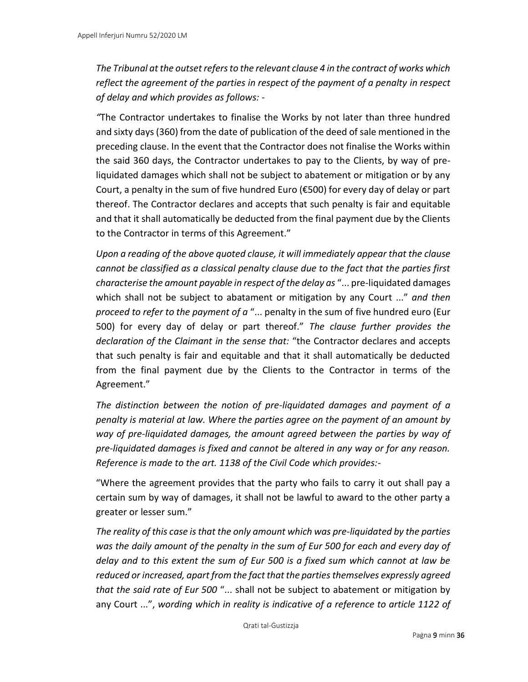*The Tribunal at the outset refers to the relevant clause 4 in the contract of works which reflect the agreement of the parties in respect of the payment of a penalty in respect of delay and which provides as follows: -*

*"*The Contractor undertakes to finalise the Works by not later than three hundred and sixty days (360) from the date of publication of the deed of sale mentioned in the preceding clause. In the event that the Contractor does not finalise the Works within the said 360 days, the Contractor undertakes to pay to the Clients, by way of preliquidated damages which shall not be subject to abatement or mitigation or by any Court, a penalty in the sum of five hundred Euro (€500) for every day of delay or part thereof. The Contractor declares and accepts that such penalty is fair and equitable and that it shall automatically be deducted from the final payment due by the Clients to the Contractor in terms of this Agreement."

*Upon a reading of the above quoted clause, it will immediately appear that the clause cannot be classified as a classical penalty clause due to the fact that the parties first characterise the amount payable in respect of the delay as* "... pre-liquidated damages which shall not be subject to abatament or mitigation by any Court ..." *and then proceed to refer to the payment of a* "... penalty in the sum of five hundred euro (Eur 500) for every day of delay or part thereof." *The clause further provides the declaration of the Claimant in the sense that:* "the Contractor declares and accepts that such penalty is fair and equitable and that it shall automatically be deducted from the final payment due by the Clients to the Contractor in terms of the Agreement."

*The distinction between the notion of pre-liquidated damages and payment of a penalty is material at law. Where the parties agree on the payment of an amount by way of pre-liquidated damages, the amount agreed between the parties by way of pre-liquidated damages is fixed and cannot be altered in any way or for any reason. Reference is made to the art. 1138 of the Civil Code which provides:-*

"Where the agreement provides that the party who fails to carry it out shall pay a certain sum by way of damages, it shall not be lawful to award to the other party a greater or lesser sum."

*The reality of this case is that the only amount which was pre-liquidated by the parties was the daily amount of the penalty in the sum of Eur 500 for each and every day of delay and to this extent the sum of Eur 500 is a fixed sum which cannot at law be reduced or increased, apart from the fact that the parties themselves expressly agreed that the said rate of Eur 500* "... shall not be subject to abatement or mitigation by any Court ...", *wording which in reality is indicative of a reference to article 1122 of*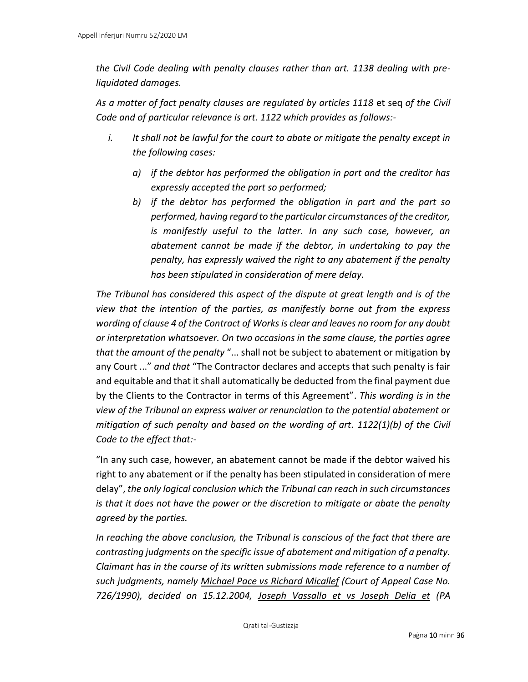*the Civil Code dealing with penalty clauses rather than art. 1138 dealing with preliquidated damages.*

*As a matter of fact penalty clauses are regulated by articles 1118* et seq *of the Civil Code and of particular relevance is art. 1122 which provides as follows:-*

- *i. It shall not be lawful for the court to abate or mitigate the penalty except in the following cases:*
	- *a) if the debtor has performed the obligation in part and the creditor has expressly accepted the part so performed;*
	- *b) if the debtor has performed the obligation in part and the part so performed, having regard to the particular circumstances of the creditor, is manifestly useful to the latter. In any such case, however, an abatement cannot be made if the debtor, in undertaking to pay the penalty, has expressly waived the right to any abatement if the penalty has been stipulated in consideration of mere delay.*

*The Tribunal has considered this aspect of the dispute at great length and is of the view that the intention of the parties, as manifestly borne out from the express wording of clause 4 of the Contract of Works is clear and leaves no room for any doubt or interpretation whatsoever. On two occasions in the same clause, the parties agree that the amount of the penalty* "... shall not be subject to abatement or mitigation by any Court ..." *and that* "The Contractor declares and accepts that such penalty is fair and equitable and that it shall automatically be deducted from the final payment due by the Clients to the Contractor in terms of this Agreement". *This wording is in the view of the Tribunal an express waiver or renunciation to the potential abatement or mitigation of such penalty and based on the wording of art. 1122(1)(b) of the Civil Code to the effect that:-*

"In any such case, however, an abatement cannot be made if the debtor waived his right to any abatement or if the penalty has been stipulated in consideration of mere delay", *the only logical conclusion which the Tribunal can reach in such circumstances is that it does not have the power or the discretion to mitigate or abate the penalty agreed by the parties.*

*In reaching the above conclusion, the Tribunal is conscious of the fact that there are contrasting judgments on the specific issue of abatement and mitigation of a penalty. Claimant has in the course of its written submissions made reference to a number of such judgments, namely Michael Pace vs Richard Micallef (Court of Appeal Case No. 726/1990), decided on 15.12.2004, Joseph Vassallo et vs Joseph Delia et (PA*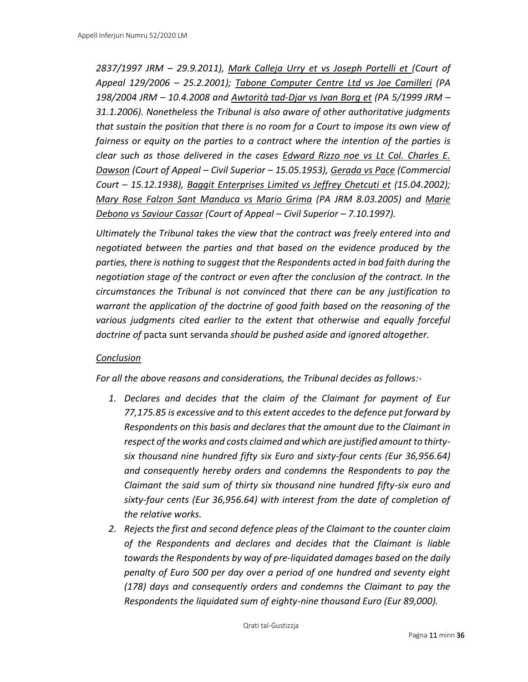*2837/1997 JRM – 29.9.2011), Mark Calleja Urry et vs Joseph Portelli et (Court of Appeal 129/2006 – 25.2.2001); Tabone Computer Centre Ltd vs Joe Camilleri (PA 198/2004 JRM – 10.4.2008 and Awtorità tad-Djar vs Ivan Borg et (PA 5/1999 JRM – 31.1.2006). Nonetheless the Tribunal is also aware of other authoritative judgments that sustain the position that there is no room for a Court to impose its own view of fairness or equity on the parties to a contract where the intention of the parties is clear such as those delivered in the cases Edward Rizzo noe vs Lt Col. Charles E. Dawson (Court of Appeal – Civil Superior – 15.05.1953), Gerada vs Pace (Commercial Court – 15.12.1938), Baggit Enterprises Limited vs Jeffrey Chetcuti et (15.04.2002); Mary Rose Falzon Sant Manduca vs Mario Grima (PA JRM 8.03.2005) and Marie Debono vs Saviour Cassar (Court of Appeal – Civil Superior – 7.10.1997).*

*Ultimately the Tribunal takes the view that the contract was freely entered into and negotiated between the parties and that based on the evidence produced by the parties, there is nothing to suggest that the Respondents acted in bad faith during the negotiation stage of the contract or even after the conclusion of the contract. In the circumstances the Tribunal is not convinced that there can be any justification to warrant the application of the doctrine of good faith based on the reasoning of the various judgments cited earlier to the extent that otherwise and equally forceful doctrine of* pacta sunt servanda *should be pushed aside and ignored altogether.*

#### *Conclusion*

*For all the above reasons and considerations, the Tribunal decides as follows:-*

- *1. Declares and decides that the claim of the Claimant for payment of Eur 77,175.85 is excessive and to this extent accedes to the defence put forward by Respondents on this basis and declares that the amount due to the Claimant in respect of the works and costs claimed and which are justified amount to thirtysix thousand nine hundred fifty six Euro and sixty-four cents (Eur 36,956.64) and consequently hereby orders and condemns the Respondents to pay the Claimant the said sum of thirty six thousand nine hundred fifty-six euro and sixty-four cents (Eur 36,956.64) with interest from the date of completion of the relative works.*
- *2. Rejects the first and second defence pleas of the Claimant to the counter claim of the Respondents and declares and decides that the Claimant is liable towards the Respondents by way of pre-liquidated damages based on the daily penalty of Euro 500 per day over a period of one hundred and seventy eight (178) days and consequently orders and condemns the Claimant to pay the Respondents the liquidated sum of eighty-nine thousand Euro (Eur 89,000).*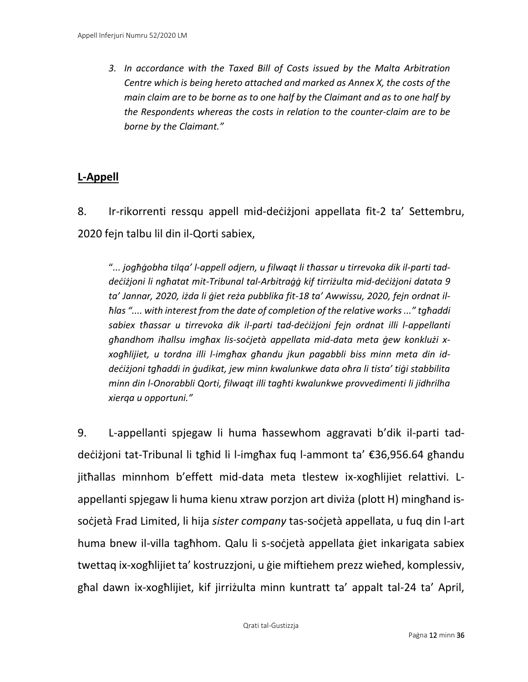*3. In accordance with the Taxed Bill of Costs issued by the Malta Arbitration Centre which is being hereto attached and marked as Annex X, the costs of the main claim are to be borne as to one half by the Claimant and as to one half by the Respondents whereas the costs in relation to the counter-claim are to be borne by the Claimant."*

## **L-Appell**

8. Ir-rikorrenti ressqu appell mid-deċiżjoni appellata fit-2 ta' Settembru, 2020 fejn talbu lil din il-Qorti sabiex,

"*... jogħġobha tilqa' l-appell odjern, u filwaqt li tħassar u tirrevoka dik il-parti taddeċiżjoni li ngħatat mit-Tribunal tal-Arbitraġġ kif tirriżulta mid-deċiżjoni datata 9 ta' Jannar, 2020, iżda li ġiet reża pubblika fit-18 ta' Awwissu, 2020, fejn ordnat ilħlas ".... with interest from the date of completion of the relative works ..." tgħaddi sabiex tħassar u tirrevoka dik il-parti tad-deċiżjoni fejn ordnat illi l-appellanti għandhom iħallsu imgħax lis-soċjetà appellata mid-data meta ġew konklużi xxogħlijiet, u tordna illi l-imgħax għandu jkun pagabbli biss minn meta din iddeċiżjoni tgħaddi in ġudikat, jew minn kwalunkwe data oħra li tista' tiġi stabbilita minn din l-Onorabbli Qorti, filwaqt illi tagħti kwalunkwe provvedimenti li jidhrilha xierqa u opportuni."*

9. L-appellanti spjegaw li huma ħassewhom aggravati b'dik il-parti taddeċiżjoni tat-Tribunal li tgħid li l-imgħax fuq l-ammont ta' €36,956.64 għandu jitħallas minnhom b'effett mid-data meta tlestew ix-xogħlijiet relattivi. Lappellanti spjegaw li huma kienu xtraw porzjon art diviża (plott H) mingħand issoċjetà Frad Limited, li hija *sister company* tas-soċjetà appellata, u fuq din l-art huma bnew il-villa tagħhom. Qalu li s-soċjetà appellata ġiet inkarigata sabiex twettaq ix-xogħlijiet ta' kostruzzjoni, u ġie miftiehem prezz wieħed, komplessiv, għal dawn ix-xogħlijiet, kif jirriżulta minn kuntratt ta' appalt tal-24 ta' April,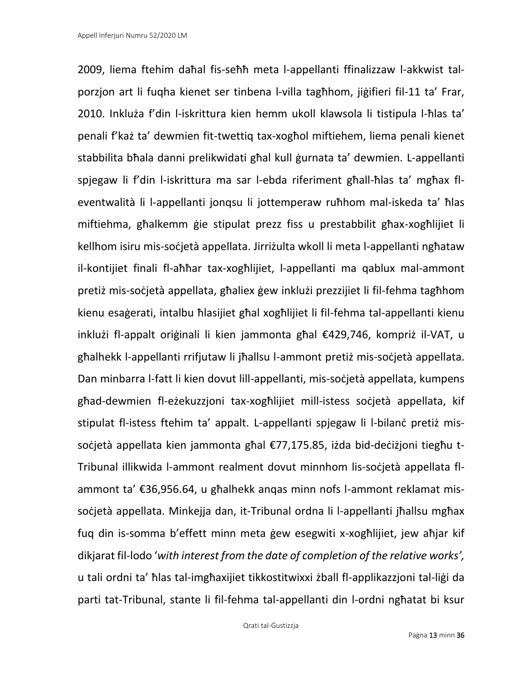2009, liema ftehim daħal fis-seħħ meta l-appellanti ffinalizzaw l-akkwist talporzjon art li fuqha kienet ser tinbena l-villa tagħhom, jiġifieri fil-11 ta' Frar, 2010. Inkluża f'din l-iskrittura kien hemm ukoll klawsola li tistipula l-ħlas ta' penali f'każ ta' dewmien fit-twettiq tax-xogħol miftiehem, liema penali kienet stabbilita bħala danni prelikwidati għal kull ġurnata ta' dewmien. L-appellanti spjegaw li f'din l-iskrittura ma sar l-ebda riferiment għall-ħlas ta' mgħax fleventwalità li l-appellanti jonqsu li jottemperaw ruħhom mal-iskeda ta' ħlas miftiehma, għalkemm ġie stipulat prezz fiss u prestabbilit għax-xogħlijiet li kellhom isiru mis-soċjetà appellata. Jirriżulta wkoll li meta l-appellanti ngħataw il-kontijiet finali fl-aħħar tax-xogħlijiet, l-appellanti ma qablux mal-ammont pretiż mis-soċjetà appellata, għaliex ġew inklużi prezzijiet li fil-fehma tagħhom kienu esaġerati, intalbu ħlasijiet għal xogħlijiet li fil-fehma tal-appellanti kienu inklużi fl-appalt oriġinali li kien jammonta għal €429,746, kompriż il-VAT, u għalhekk l-appellanti rrifjutaw li jħallsu l-ammont pretiż mis-soċjetà appellata. Dan minbarra l-fatt li kien dovut lill-appellanti, mis-soċjetà appellata, kumpens għad-dewmien fl-eżekuzzjoni tax-xogħlijiet mill-istess soċjetà appellata, kif stipulat fl-istess ftehim ta' appalt. L-appellanti spjegaw li l-bilanċ pretiż missoċjetà appellata kien jammonta għal €77,175.85, iżda bid-deċiżjoni tiegħu t-Tribunal illikwida l-ammont realment dovut minnhom lis-soċjetà appellata flammont ta' €36,956.64, u għalhekk anqas minn nofs l-ammont reklamat missoċjetà appellata. Minkejja dan, it-Tribunal ordna li l-appellanti jħallsu mgħax fuq din is-somma b'effett minn meta ġew esegwiti x-xogħlijiet, jew aħjar kif dikjarat fil-lodo '*with interest from the date of completion of the relative works',* u tali ordni ta' ħlas tal-imgħaxijiet tikkostitwixxi żball fl-applikazzjoni tal-liġi da parti tat-Tribunal, stante li fil-fehma tal-appellanti din l-ordni ngħatat bi ksur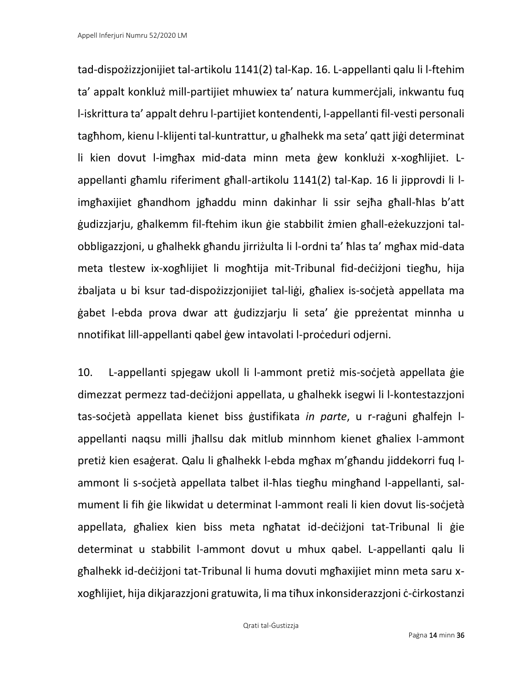tad-dispożizzjonijiet tal-artikolu 1141(2) tal-Kap. 16. L-appellanti qalu li l-ftehim ta' appalt konkluż mill-partijiet mhuwiex ta' natura kummerċjali, inkwantu fuq l-iskrittura ta' appalt dehru l-partijiet kontendenti, l-appellanti fil-vesti personali tagħhom, kienu l-klijenti tal-kuntrattur, u għalhekk ma seta' qatt jiġi determinat li kien dovut l-imgħax mid-data minn meta ġew konklużi x-xogħlijiet. Lappellanti għamlu riferiment għall-artikolu 1141(2) tal-Kap. 16 li jipprovdi li limgħaxijiet għandhom jgħaddu minn dakinhar li ssir sejħa għall-ħlas b'att ġudizzjarju, għalkemm fil-ftehim ikun ġie stabbilit żmien għall-eżekuzzjoni talobbligazzjoni, u għalhekk għandu jirriżulta li l-ordni ta' ħlas ta' mgħax mid-data meta tlestew ix-xogħlijiet li mogħtija mit-Tribunal fid-deċiżjoni tiegħu, hija żbaljata u bi ksur tad-dispożizzjonijiet tal-liġi, għaliex is-soċjetà appellata ma ġabet l-ebda prova dwar att ġudizzjarju li seta' ġie ppreżentat minnha u nnotifikat lill-appellanti qabel ġew intavolati l-proċeduri odjerni.

10. L-appellanti spjegaw ukoll li l-ammont pretiż mis-soċjetà appellata ġie dimezzat permezz tad-deċiżjoni appellata, u għalhekk isegwi li l-kontestazzjoni tas-soċjetà appellata kienet biss ġustifikata *in parte*, u r-raġuni għalfejn lappellanti naqsu milli jħallsu dak mitlub minnhom kienet għaliex l-ammont pretiż kien esaġerat. Qalu li għalhekk l-ebda mgħax m'għandu jiddekorri fuq lammont li s-soċjetà appellata talbet il-ħlas tiegħu mingħand l-appellanti, salmument li fih ġie likwidat u determinat l-ammont reali li kien dovut lis-soċjetà appellata, għaliex kien biss meta ngħatat id-deċiżjoni tat-Tribunal li ġie determinat u stabbilit l-ammont dovut u mhux qabel. L-appellanti qalu li għalhekk id-deċiżjoni tat-Tribunal li huma dovuti mgħaxijiet minn meta saru xxogħlijiet, hija dikjarazzjoni gratuwita, li ma tiħux inkonsiderazzjoni ċ-ċirkostanzi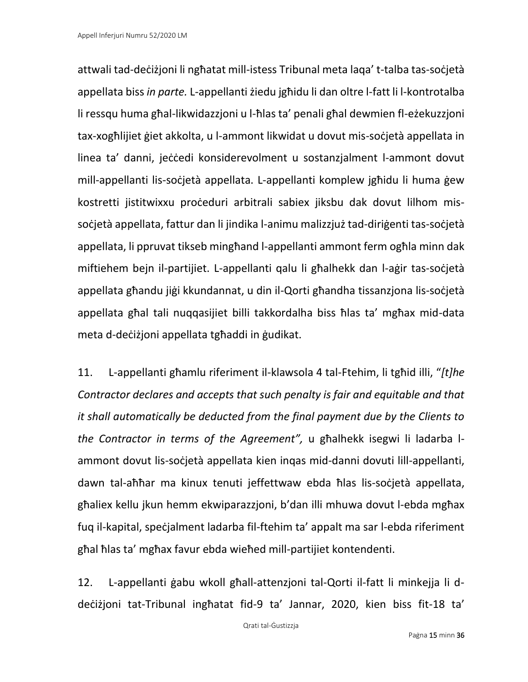attwali tad-deċiżjoni li ngħatat mill-istess Tribunal meta laqa' t-talba tas-soċjetà appellata biss *in parte.* L-appellanti żiedu jgħidu li dan oltre l-fatt li l-kontrotalba li ressqu huma għal-likwidazzjoni u l-ħlas ta' penali għal dewmien fl-eżekuzzjoni tax-xogħlijiet ġiet akkolta, u l-ammont likwidat u dovut mis-soċjetà appellata in linea ta' danni, jeċċedi konsiderevolment u sostanzjalment l-ammont dovut mill-appellanti lis-soċjetà appellata. L-appellanti komplew jgħidu li huma ġew kostretti jistitwixxu proċeduri arbitrali sabiex jiksbu dak dovut lilhom missoċjetà appellata, fattur dan li jindika l-animu malizzjuż tad-diriġenti tas-soċjetà appellata, li ppruvat tikseb mingħand l-appellanti ammont ferm ogħla minn dak miftiehem bejn il-partijiet. L-appellanti qalu li għalhekk dan l-aġir tas-soċjetà appellata għandu jiġi kkundannat, u din il-Qorti għandha tissanzjona lis-soċjetà appellata għal tali nuqqasijiet billi takkordalha biss ħlas ta' mgħax mid-data meta d-deċiżjoni appellata tgħaddi in ġudikat.

11. L-appellanti għamlu riferiment il-klawsola 4 tal-Ftehim, li tgħid illi, "*[t]he Contractor declares and accepts that such penalty is fair and equitable and that it shall automatically be deducted from the final payment due by the Clients to the Contractor in terms of the Agreement",* u għalhekk isegwi li ladarba lammont dovut lis-soċjetà appellata kien inqas mid-danni dovuti lill-appellanti, dawn tal-aħħar ma kinux tenuti jeffettwaw ebda ħlas lis-soċjetà appellata, għaliex kellu jkun hemm ekwiparazzjoni, b'dan illi mhuwa dovut l-ebda mgħax fuq il-kapital, speċjalment ladarba fil-ftehim ta' appalt ma sar l-ebda riferiment għal ħlas ta' mgħax favur ebda wieħed mill-partijiet kontendenti.

12. L-appellanti ġabu wkoll għall-attenzjoni tal-Qorti il-fatt li minkejja li ddeċiżjoni tat-Tribunal ingħatat fid-9 ta' Jannar, 2020, kien biss fit-18 ta'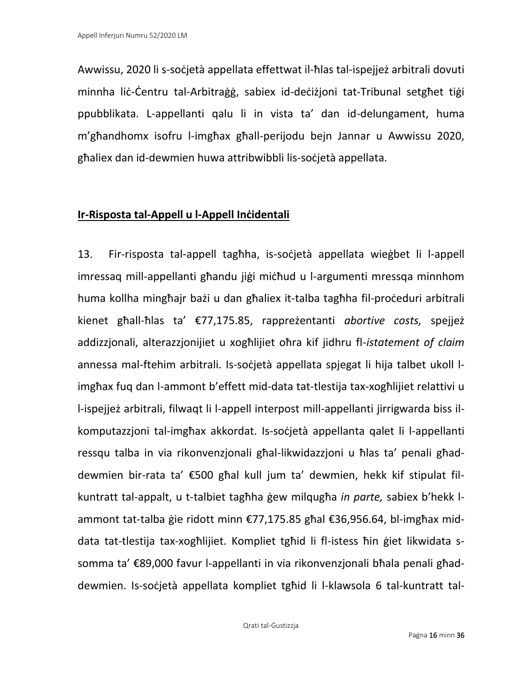Awwissu, 2020 li s-soċjetà appellata effettwat il-ħlas tal-ispejjeż arbitrali dovuti minnha liċ-Ċentru tal-Arbitraġġ, sabiex id-deċiżjoni tat-Tribunal setgħet tiġi ppubblikata. L-appellanti qalu li in vista ta' dan id-delungament, huma m'għandhomx isofru l-imgħax għall-perijodu bejn Jannar u Awwissu 2020, għaliex dan id-dewmien huwa attribwibbli lis-soċjetà appellata.

### **Ir-Risposta tal-Appell u l-Appell Inċidentali**

13. Fir-risposta tal-appell tagħha, is-soċjetà appellata wieġbet li l-appell imressaq mill-appellanti għandu jiġi miċħud u l-argumenti mressqa minnhom huma kollha mingħajr bażi u dan għaliex it-talba tagħha fil-proċeduri arbitrali kienet għall-ħlas ta' €77,175.85, rappreżentanti *abortive costs,* spejjeż addizzjonali, alterazzjonijiet u xogħlijiet oħra kif jidhru fl-*istatement of claim*  annessa mal-ftehim arbitrali. Is-soċjetà appellata spjegat li hija talbet ukoll limgħax fuq dan l-ammont b'effett mid-data tat-tlestija tax-xogħlijiet relattivi u l-ispejjeż arbitrali, filwaqt li l-appell interpost mill-appellanti jirrigwarda biss ilkomputazzjoni tal-imgħax akkordat. Is-soċjetà appellanta qalet li l-appellanti ressqu talba in via rikonvenzjonali għal-likwidazzjoni u ħlas ta' penali għaddewmien bir-rata ta' €500 għal kull jum ta' dewmien, hekk kif stipulat filkuntratt tal-appalt, u t-talbiet tagħha ġew milqugħa *in parte,* sabiex b'hekk lammont tat-talba ġie ridott minn €77,175.85 għal €36,956.64, bl-imgħax middata tat-tlestija tax-xogħlijiet. Kompliet tgħid li fl-istess ħin ġiet likwidata ssomma ta' €89,000 favur l-appellanti in via rikonvenzjonali bħala penali għaddewmien. Is-soċjetà appellata kompliet tgħid li l-klawsola 6 tal-kuntratt tal-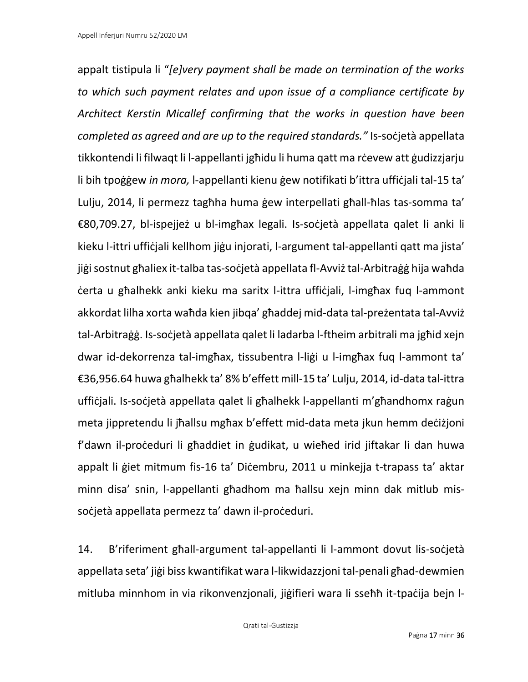appalt tistipula li "*[e]very payment shall be made on termination of the works to which such payment relates and upon issue of a compliance certificate by Architect Kerstin Micallef confirming that the works in question have been completed as agreed and are up to the required standards."* Is-soċjetà appellata tikkontendi li filwaqt li l-appellanti jgħidu li huma qatt ma rċevew att ġudizzjarju li bih tpoġġew *in mora,* l-appellanti kienu ġew notifikati b'ittra uffiċjali tal-15 ta' Lulju, 2014, li permezz tagħha huma ġew interpellati għall-ħlas tas-somma ta' €80,709.27, bl-ispejjeż u bl-imgħax legali. Is-soċjetà appellata qalet li anki li kieku l-ittri uffiċjali kellhom jiġu injorati, l-argument tal-appellanti qatt ma jista' jiġi sostnut għaliex it-talba tas-soċjetà appellata fl-Avviż tal-Arbitraġġ hija waħda ċerta u għalhekk anki kieku ma saritx l-ittra uffiċjali, l-imgħax fuq l-ammont akkordat lilha xorta waħda kien jibqa' għaddej mid-data tal-preżentata tal-Avviż tal-Arbitraġġ. Is-soċjetà appellata qalet li ladarba l-ftheim arbitrali ma jgħid xejn dwar id-dekorrenza tal-imgħax, tissubentra l-liġi u l-imgħax fuq l-ammont ta' €36,956.64 huwa għalhekk ta' 8% b'effett mill-15 ta' Lulju, 2014, id-data tal-ittra uffiċjali. Is-soċjetà appellata qalet li għalhekk l-appellanti m'għandhomx raġun meta jippretendu li jħallsu mgħax b'effett mid-data meta jkun hemm deċiżjoni f'dawn il-proceduri li għaddiet in gudikat, u wieħed irid jiftakar li dan huwa appalt li ġiet mitmum fis-16 ta' Diċembru, 2011 u minkejja t-trapass ta' aktar minn disa' snin, l-appellanti għadhom ma ħallsu xejn minn dak mitlub missoċjetà appellata permezz ta' dawn il-proċeduri.

14. B'riferiment għall-argument tal-appellanti li l-ammont dovut lis-soċjetà appellata seta' jiġi biss kwantifikat wara l-likwidazzjoni tal-penali għad-dewmien mitluba minnhom in via rikonvenzjonali, jiġifieri wara li sseħħ it-tpaċija bejn l-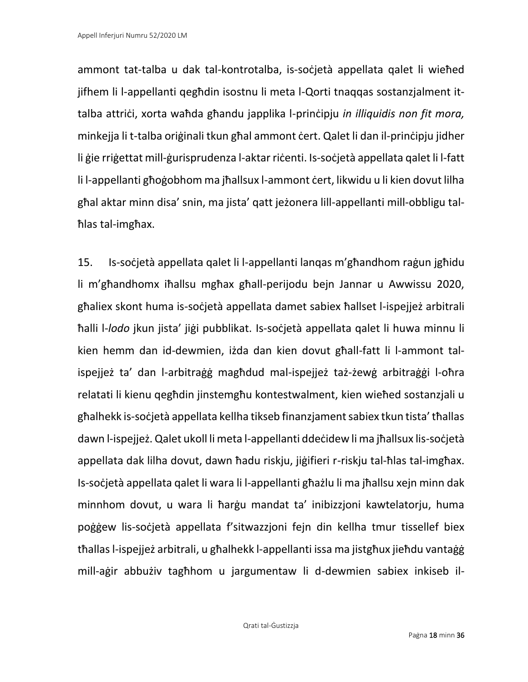ammont tat-talba u dak tal-kontrotalba, is-soċjetà appellata qalet li wieħed jifhem li l-appellanti qegħdin isostnu li meta l-Qorti tnaqqas sostanzjalment ittalba attriċi, xorta waħda għandu japplika l-prinċipju *in illiquidis non fit mora,* minkejja li t-talba oriġinali tkun għal ammont ċert. Qalet li dan il-prinċipju jidher li gie rrigettat mill-gurisprudenza l-aktar riċenti. Is-soċjetà appellata qalet li l-fatt li l-appellanti għoġobhom ma jħallsux l-ammont ċert, likwidu u li kien dovut lilha għal aktar minn disa' snin, ma jista' qatt jeżonera lill-appellanti mill-obbligu talħlas tal-imgħax.

15. Is-soċjetà appellata qalet li l-appellanti lanqas m'għandhom raġun jgħidu li m'għandhomx iħallsu mgħax għall-perijodu bejn Jannar u Awwissu 2020, għaliex skont huma is-soċjetà appellata damet sabiex ħallset l-ispejjeż arbitrali ħalli l-*lodo* jkun jista' jiġi pubblikat. Is-soċjetà appellata qalet li huwa minnu li kien hemm dan id-dewmien, iżda dan kien dovut għall-fatt li l-ammont talispejjeż ta' dan l-arbitraġġ magħdud mal-ispejjeż taż-żewġ arbitraġġi l-oħra relatati li kienu qegħdin jinstemgħu kontestwalment, kien wieħed sostanzjali u għalhekk is-soċjetà appellata kellha tikseb finanzjament sabiex tkun tista' tħallas dawn l-ispejjeż. Qalet ukoll li meta l-appellanti ddeċidew li ma jħallsux lis-soċjetà appellata dak lilha dovut, dawn ħadu riskju, jiġifieri r-riskju tal-ħlas tal-imgħax. Is-soċjetà appellata qalet li wara li l-appellanti għażlu li ma jħallsu xejn minn dak minnhom dovut, u wara li ħarġu mandat ta' inibizzjoni kawtelatorju, huma poġġew lis-soċjetà appellata f'sitwazzjoni fejn din kellha tmur tissellef biex tħallas l-ispejjeż arbitrali, u għalhekk l-appellanti issa ma jistgħux jieħdu vantaġġ mill-aġir abbużiv tagħhom u jargumentaw li d-dewmien sabiex inkiseb il-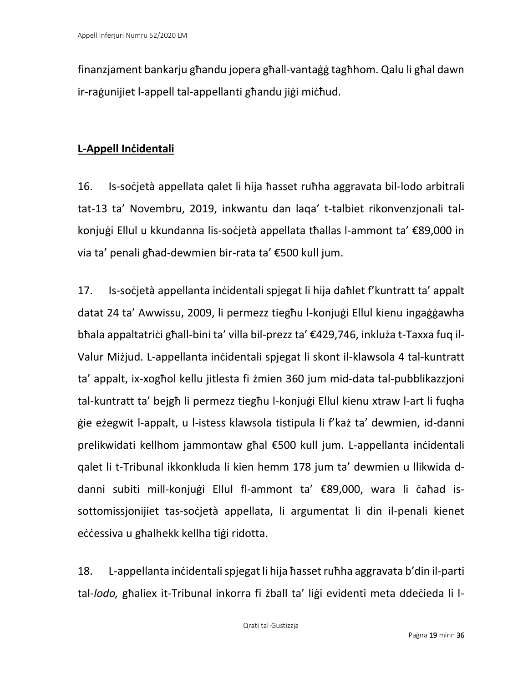finanzjament bankarju għandu jopera għall-vantaġġ tagħhom. Qalu li għal dawn ir-raġunijiet l-appell tal-appellanti għandu jiġi miċħud.

### **L-Appell Inċidentali**

16. Is-soċjetà appellata qalet li hija ħasset ruħha aggravata bil-lodo arbitrali tat-13 ta' Novembru, 2019, inkwantu dan laqa' t-talbiet rikonvenzjonali talkonjuġi Ellul u kkundanna lis-soċjetà appellata tħallas l-ammont ta' €89,000 in via ta' penali għad-dewmien bir-rata ta' €500 kull jum.

17. Is-soċjetà appellanta inċidentali spjegat li hija daħlet f'kuntratt ta' appalt datat 24 ta' Awwissu, 2009, li permezz tiegħu l-konjuġi Ellul kienu ingaġġawha bħala appaltatriċi għall-bini ta' villa bil-prezz ta' €429,746, inkluża t-Taxxa fuq il-Valur Miżjud. L-appellanta inċidentali spjegat li skont il-klawsola 4 tal-kuntratt ta' appalt, ix-xogħol kellu jitlesta fi żmien 360 jum mid-data tal-pubblikazzjoni tal-kuntratt ta' bejgħ li permezz tiegħu l-konjuġi Ellul kienu xtraw l-art li fuqha ġie eżegwit l-appalt, u l-istess klawsola tistipula li f'każ ta' dewmien, id-danni prelikwidati kellhom jammontaw għal €500 kull jum. L-appellanta inċidentali qalet li t-Tribunal ikkonkluda li kien hemm 178 jum ta' dewmien u llikwida ddanni subiti mill-konjuġi Ellul fl-ammont ta' €89,000, wara li ċaħad issottomissjonijiet tas-soċjetà appellata, li argumentat li din il-penali kienet eċċessiva u għalhekk kellha tiġi ridotta.

18. L-appellanta inċidentali spjegat li hija ħassetruħha aggravata b'din il-parti tal-*lodo,* għaliex it-Tribunal inkorra fi żball ta' liġi evidenti meta ddeċieda li l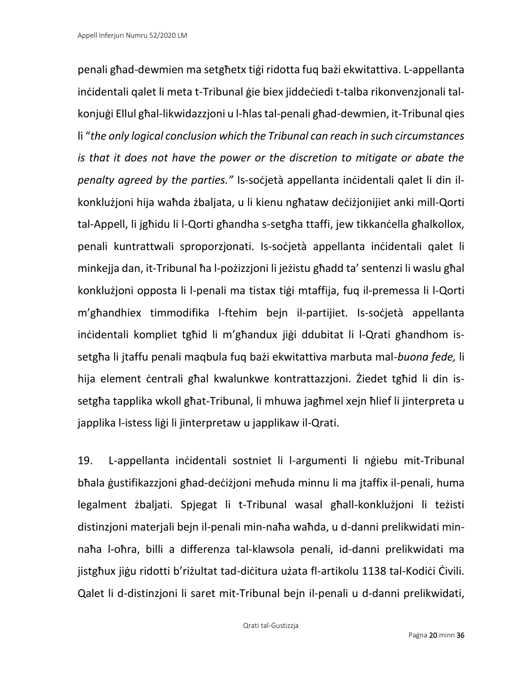penali għad-dewmien ma setgħetx tiġi ridotta fuq bażi ekwitattiva. L-appellanta inċidentali qalet li meta t-Tribunal ġie biex jiddeċiedi t-talba rikonvenzjonali talkonjuġi Ellul għal-likwidazzjoni u l-ħlas tal-penali għad-dewmien, it-Tribunal qies li "*the only logical conclusion which the Tribunal can reach in such circumstances is that it does not have the power or the discretion to mitigate or abate the penalty agreed by the parties."* Is-soċjetà appellanta inċidentali qalet li din ilkonklużjoni hija waħda żbaljata, u li kienu ngħataw deċiżjonijiet anki mill-Qorti tal-Appell, li jgħidu li l-Qorti għandha s-setgħa ttaffi, jew tikkanċella għalkollox, penali kuntrattwali sproporzjonati. Is-soċjetà appellanta inċidentali qalet li minkejja dan, it-Tribunal ħa l-pożizzjoni li jeżistu għadd ta' sentenzi li waslu għal konklużjoni opposta li l-penali ma tistax tiġi mtaffija, fuq il-premessa li l-Qorti m'għandhiex timmodifika l-ftehim bejn il-partijiet. Is-soċjetà appellanta inċidentali kompliet tgħid li m'għandux jiġi ddubitat li l-Qrati għandhom issetgħa li jtaffu penali maqbula fuq bażi ekwitattiva marbuta mal-*buona fede,* li hija element ċentrali għal kwalunkwe kontrattazzjoni. Żiedet tgħid li din issetgħa tapplika wkoll għat-Tribunal, li mhuwa jagħmel xejn ħlief li jinterpreta u japplika l-istess liġi li jinterpretaw u japplikaw il-Qrati.

19. L-appellanta inċidentali sostniet li l-argumenti li nġiebu mit-Tribunal bħala ġustifikazzjoni għad-deċiżjoni meħuda minnu li ma jtaffix il-penali, huma legalment żbaljati. Spjegat li t-Tribunal wasal għall-konklużjoni li teżisti distinzjoni materjali bejn il-penali min-naħa waħda, u d-danni prelikwidati minnaħa l-oħra, billi a differenza tal-klawsola penali, id-danni prelikwidati ma jistgħux jiġu ridotti b'riżultat tad-diċitura użata fl-artikolu 1138 tal-Kodiċi Ċivili. Qalet li d-distinzjoni li saret mit-Tribunal bejn il-penali u d-danni prelikwidati,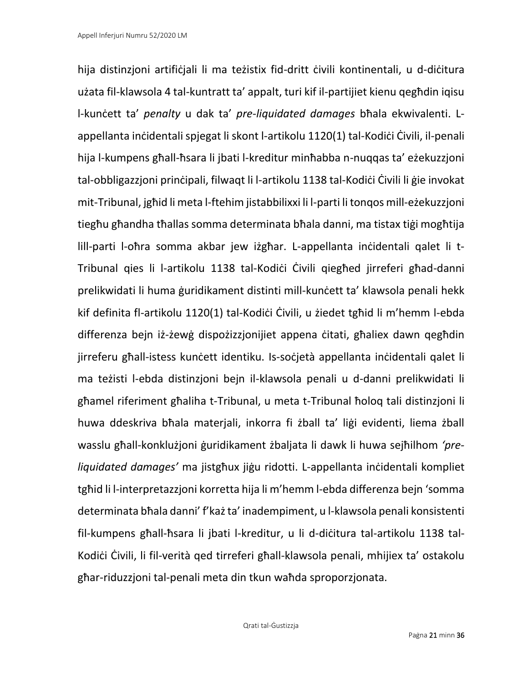hija distinzjoni artifiċjali li ma teżistix fid-dritt ċivili kontinentali, u d-diċitura użata fil-klawsola 4 tal-kuntratt ta' appalt, turi kif il-partijiet kienu qegħdin iqisu l-kunċett ta' *penalty* u dak ta' *pre-liquidated damages* bħala ekwivalenti. Lappellanta inċidentali spjegat li skont l-artikolu 1120(1) tal-Kodiċi Ċivili, il-penali hija l-kumpens għall-ħsara li jbati l-kreditur minħabba n-nuqqas ta' eżekuzzjoni tal-obbligazzjoni prinċipali, filwaqt li l-artikolu 1138 tal-Kodiċi Ċivili li ġie invokat mit-Tribunal, jgħid li meta l-ftehim jistabbilixxi li l-parti li tonqos mill-eżekuzzjoni tiegħu għandha tħallas somma determinata bħala danni, ma tistax tiġi mogħtija lill-parti l-oħra somma akbar jew iżgħar. L-appellanta inċidentali qalet li t-Tribunal qies li l-artikolu 1138 tal-Kodiċi Ċivili qiegħed jirreferi għad-danni prelikwidati li huma ġuridikament distinti mill-kunċett ta' klawsola penali hekk kif definita fl-artikolu 1120(1) tal-Kodiċi Ċivili, u żiedet tgħid li m'hemm l-ebda differenza bejn iż-żewġ dispożizzjonijiet appena ċitati, għaliex dawn qegħdin jirreferu għall-istess kunċett identiku. Is-soċjetà appellanta inċidentali qalet li ma teżisti l-ebda distinzjoni bejn il-klawsola penali u d-danni prelikwidati li għamel riferiment għaliha t-Tribunal, u meta t-Tribunal ħoloq tali distinzjoni li huwa ddeskriva bħala materjali, inkorra fi żball ta' liġi evidenti, liema żball wasslu għall-konklużjoni ġuridikament żbaljata li dawk li huwa sejħilhom *'preliquidated damages'* ma jistgħux jiġu ridotti. L-appellanta inċidentali kompliet tgħid li l-interpretazzjoni korretta hija li m'hemm l-ebda differenza bejn 'somma determinata bħala danni' f'każ ta' inadempiment, u l-klawsola penali konsistenti fil-kumpens għall-ħsara li jbati l-kreditur, u li d-diċitura tal-artikolu 1138 tal-Kodiċi Ċivili, li fil-verità ged tirreferi għall-klawsola penali, mhijiex ta' ostakolu għar-riduzzjoni tal-penali meta din tkun waħda sproporzjonata.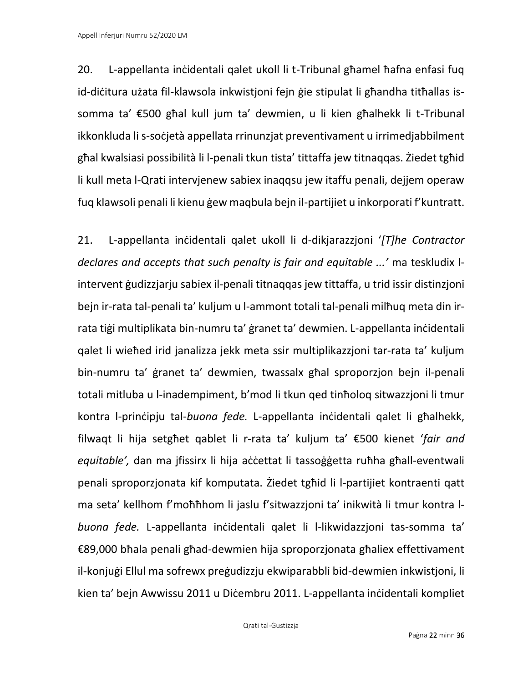20. L-appellanta inċidentali qalet ukoll li t-Tribunal għamel ħafna enfasi fuq id-diċitura użata fil-klawsola inkwistjoni fejn ġie stipulat li għandha titħallas issomma ta' €500 għal kull jum ta' dewmien, u li kien għalhekk li t-Tribunal ikkonkluda li s-soċjetà appellata rrinunzjat preventivament u irrimedjabbilment għal kwalsiasi possibilità li l-penali tkun tista' tittaffa jew titnaqqas. Żiedet tgħid li kull meta l-Qrati intervjenew sabiex inaqqsu jew itaffu penali, dejjem operaw fuq klawsoli penali li kienu ġew maqbula bejn il-partijiet u inkorporati f'kuntratt.

21. L-appellanta inċidentali qalet ukoll li d-dikjarazzjoni '*[T]he Contractor declares and accepts that such penalty is fair and equitable ...'* ma teskludix lintervent ġudizzjarju sabiex il-penali titnaqqas jew tittaffa, u trid issir distinzjoni bejn ir-rata tal-penali ta' kuljum u l-ammont totali tal-penali milħuq meta din irrata tiġi multiplikata bin-numru ta' ġranet ta' dewmien. L-appellanta inċidentali qalet li wieħed irid janalizza jekk meta ssir multiplikazzjoni tar-rata ta' kuljum bin-numru ta' ġranet ta' dewmien, twassalx għal sproporzjon bejn il-penali totali mitluba u l-inadempiment, b'mod li tkun qed tinħoloq sitwazzjoni li tmur kontra l-prinċipju tal-*buona fede.* L-appellanta inċidentali qalet li għalhekk, filwaqt li hija setgħet qablet li r-rata ta' kuljum ta' €500 kienet '*fair and equitable',* dan ma jfissirx li hija aċċettat li tassoġġetta ruħha għall-eventwali penali sproporzjonata kif komputata. Żiedet tgħid li l-partijiet kontraenti qatt ma seta' kellhom f'moħħhom li jaslu f'sitwazzjoni ta' inikwità li tmur kontra l*buona fede.* L-appellanta inċidentali qalet li l-likwidazzjoni tas-somma ta' €89,000 bħala penali għad-dewmien hija sproporzjonata għaliex effettivament il-konjuġi Ellul ma sofrewx preġudizzju ekwiparabbli bid-dewmien inkwistjoni, li kien ta' bejn Awwissu 2011 u Diċembru 2011. L-appellanta inċidentali kompliet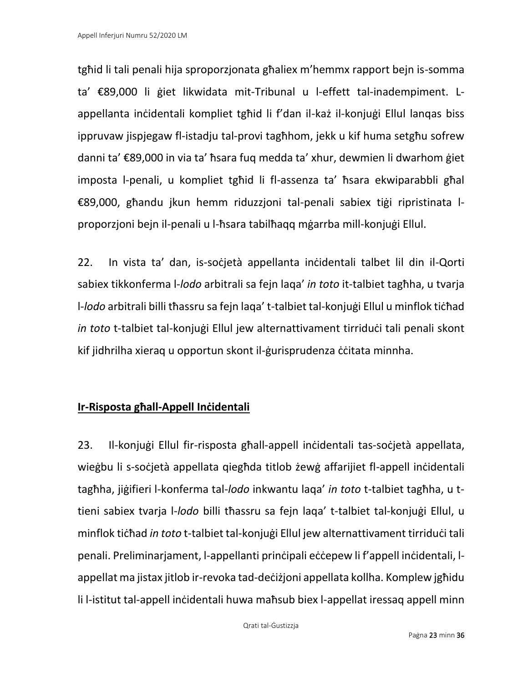tgħid li tali penali hija sproporzjonata għaliex m'hemmx rapport bejn is-somma ta' €89,000 li ġiet likwidata mit-Tribunal u l-effett tal-inadempiment. Lappellanta inċidentali kompliet tgħid li f'dan il-każ il-konjuġi Ellul lanqas biss ippruvaw jispjegaw fl-istadju tal-provi tagħhom, jekk u kif huma setgħu sofrew danni ta' €89,000 in via ta' ħsara fuq medda ta' xhur, dewmien li dwarhom ġiet imposta l-penali, u kompliet tgħid li fl-assenza ta' ħsara ekwiparabbli għal €89,000, għandu jkun hemm riduzzjoni tal-penali sabiex tiġi ripristinata lproporzjoni bejn il-penali u l-ħsara tabilħaqq mġarrba mill-konjuġi Ellul.

22. In vista ta' dan, is-soċjetà appellanta inċidentali talbet lil din il-Qorti sabiex tikkonferma l-*lodo* arbitrali sa fejn laqa' *in toto* it-talbiet tagħha, u tvarja l-*lodo* arbitrali billi tħassru sa fejn laqa' t-talbiet tal-konjuġi Ellul u minflok tiċħad *in toto* t-talbiet tal-konjuġi Ellul jew alternattivament tirriduċi tali penali skont kif jidhrilha xieraq u opportun skont il-gurisprudenza ccitata minnha.

## **Ir-Risposta għall-Appell Inċidentali**

23. Il-konjuġi Ellul fir-risposta għall-appell inċidentali tas-soċjetà appellata, wieġbu li s-soċjetà appellata qiegħda titlob żewġ affarijiet fl-appell inċidentali tagħha, jiġifieri l-konferma tal-*lodo* inkwantu laqa' *in toto* t-talbiet tagħha, u ttieni sabiex tvarja l-*lodo* billi tħassru sa fejn laqa' t-talbiet tal-konjuġi Ellul, u minflok tiċħad *in toto* t-talbiet tal-konjuġi Ellul jew alternattivament tirriduċi tali penali. Preliminarjament, l-appellanti prinċipali eċċepew li f'appell inċidentali, lappellat ma jistax jitlob ir-revoka tad-deċiżjoni appellata kollha. Komplew jgħidu li l-istitut tal-appell inċidentali huwa maħsub biex l-appellat iressaq appell minn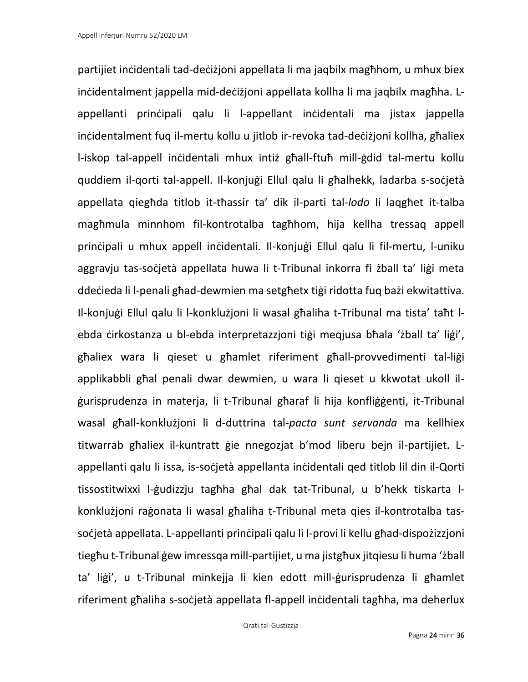partijiet inċidentali tad-deċiżjoni appellata li ma jaqbilx magħhom, u mhux biex inċidentalment jappella mid-deċiżjoni appellata kollha li ma jaqbilx magħha. Lappellanti prinċipali qalu li l-appellant inċidentali ma jistax jappella inċidentalment fuq il-mertu kollu u jitlob ir-revoka tad-deċiżjoni kollha, għaliex l-iskop tal-appell inċidentali mhux intiż għall-ftuħ mill-ġdid tal-mertu kollu quddiem il-qorti tal-appell. Il-konjuġi Ellul qalu li għalhekk, ladarba s-soċjetà appellata qiegħda titlob it-tħassir ta' dik il-parti tal-*lodo* li laqgħet it-talba magħmula minnhom fil-kontrotalba tagħhom, hija kellha tressaq appell prinċipali u mhux appell inċidentali. Il-konjuġi Ellul qalu li fil-mertu, l-uniku aggravju tas-soċjetà appellata huwa li t-Tribunal inkorra fi żball ta' liġi meta ddeċieda li l-penali għad-dewmien ma setgħetx tiġi ridotta fuq bażi ekwitattiva. Il-konjuġi Ellul qalu li l-konklużjoni li wasal għaliha t-Tribunal ma tista' taħt lebda ċirkostanza u bl-ebda interpretazzjoni tiġi meqjusa bħala 'żball ta' liġi', għaliex wara li qieset u għamlet riferiment għall-provvedimenti tal-liġi applikabbli għal penali dwar dewmien, u wara li qieset u kkwotat ukoll ilġurisprudenza in materja, li t-Tribunal għaraf li hija konfliġġenti, it-Tribunal wasal għall-konklużjoni li d-duttrina tal-*pacta sunt servanda* ma kellhiex titwarrab għaliex il-kuntratt ġie nnegozjat b'mod liberu bejn il-partijiet. Lappellanti qalu li issa, is-soċjetà appellanta inċidentali qed titlob lil din il-Qorti tissostitwixxi l-ġudizzju tagħha għal dak tat-Tribunal, u b'hekk tiskarta lkonklużjoni raġonata li wasal għaliha t-Tribunal meta qies il-kontrotalba tassoċjetà appellata. L-appellanti prinċipali qalu li l-provi li kellu għad-dispożizzjoni tiegħu t-Tribunal ġew imressqa mill-partijiet, u ma jistgħux jitqiesu li huma 'żball ta' liġi', u t-Tribunal minkejja li kien edott mill-ġurisprudenza li għamlet riferiment għaliha s-soċjetà appellata fl-appell inċidentali tagħha, ma deherlux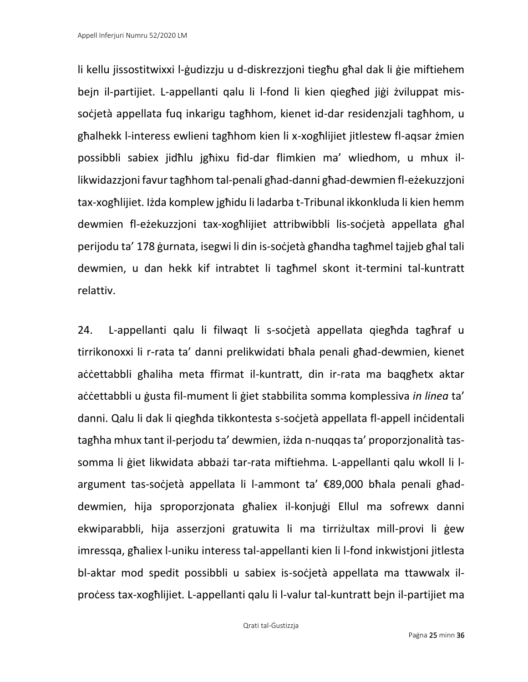li kellu jissostitwixxi l-ġudizzju u d-diskrezzjoni tiegħu għal dak li ġie miftiehem bejn il-partijiet. L-appellanti qalu li l-fond li kien qiegħed jiġi żviluppat missoċjetà appellata fuq inkarigu tagħhom, kienet id-dar residenzjali tagħhom, u għalhekk l-interess ewlieni tagħhom kien li x-xogħlijiet jitlestew fl-aqsar żmien possibbli sabiex jidħlu jgħixu fid-dar flimkien ma' wliedhom, u mhux illikwidazzjoni favur tagħhom tal-penali għad-danni għad-dewmien fl-eżekuzzjoni tax-xogħlijiet. Iżda komplew jgħidu li ladarba t-Tribunal ikkonkluda li kien hemm dewmien fl-eżekuzzjoni tax-xogħlijiet attribwibbli lis-soċjetà appellata għal perijodu ta' 178 ġurnata, isegwi li din is-soċjetà għandha tagħmel tajjeb għal tali dewmien, u dan hekk kif intrabtet li tagħmel skont it-termini tal-kuntratt relattiv.

24. L-appellanti qalu li filwaqt li s-soċjetà appellata qiegħda tagħraf u tirrikonoxxi li r-rata ta' danni prelikwidati bħala penali għad-dewmien, kienet aċċettabbli għaliha meta ffirmat il-kuntratt, din ir-rata ma baqgħetx aktar aċċettabbli u ġusta fil-mument li ġiet stabbilita somma komplessiva *in linea* ta' danni. Qalu li dak li qiegħda tikkontesta s-soċjetà appellata fl-appell inċidentali tagħha mhux tant il-perjodu ta' dewmien, iżda n-nuqqas ta' proporzjonalità tassomma li ġiet likwidata abbażi tar-rata miftiehma. L-appellanti qalu wkoll li largument tas-soċjetà appellata li l-ammont ta' €89,000 bħala penali għaddewmien, hija sproporzjonata għaliex il-konjuġi Ellul ma sofrewx danni ekwiparabbli, hija asserzjoni gratuwita li ma tirriżultax mill-provi li ġew imressqa, għaliex l-uniku interess tal-appellanti kien li l-fond inkwistjoni jitlesta bl-aktar mod spedit possibbli u sabiex is-soċjetà appellata ma ttawwalx ilproċess tax-xogħlijiet. L-appellanti qalu li l-valur tal-kuntratt bejn il-partijiet ma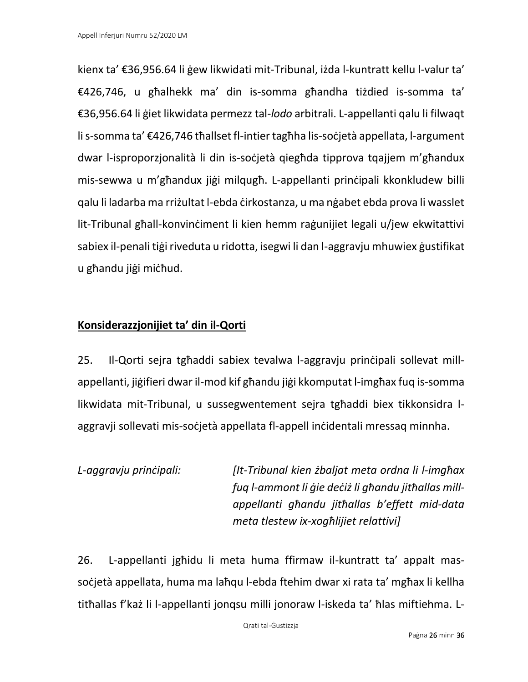kienx ta' €36,956.64 li ġew likwidati mit-Tribunal, iżda l-kuntratt kellu l-valur ta' €426,746, u għalhekk ma' din is-somma għandha tiżdied is-somma ta' €36,956.64 li ġiet likwidata permezz tal-*lodo* arbitrali. L-appellanti qalu li filwaqt li s-somma ta' €426,746 tħallset fl-intier tagħha lis-soċjetà appellata, l-argument dwar l-isproporzjonalità li din is-soċjetà qiegħda tipprova tqajjem m'għandux mis-sewwa u m'għandux jiġi milqugħ. L-appellanti prinċipali kkonkludew billi qalu li ladarba ma rriżultat l-ebda ċirkostanza, u ma nġabet ebda prova li wasslet lit-Tribunal għall-konvinċiment li kien hemm raġunijiet legali u/jew ekwitattivi sabiex il-penali tiġi riveduta u ridotta, isegwi li dan l-aggravju mhuwiex ġustifikat u għandu jiġi miċħud.

## **Konsiderazzjonijiet ta' din il-Qorti**

25. Il-Qorti sejra tgħaddi sabiex tevalwa l-aggravju prinċipali sollevat millappellanti, jiġifieri dwar il-mod kif għandu jiġi kkomputat l-imgħax fuq is-somma likwidata mit-Tribunal, u sussegwentement sejra tgħaddi biex tikkonsidra laggravji sollevati mis-soċjetà appellata fl-appell inċidentali mressaq minnha.

*L-aggravju prinċipali: [It-Tribunal kien żbaljat meta ordna li l-imgħax fuq l-ammont li ġie deċiż li għandu jitħallas millappellanti għandu jitħallas b'effett mid-data meta tlestew ix-xogħlijiet relattivi]*

26. L-appellanti jgħidu li meta huma ffirmaw il-kuntratt ta' appalt massoċjetà appellata, huma ma laħqu l-ebda ftehim dwar xi rata ta' mgħax li kellha titħallas f'każ li l-appellanti jonqsu milli jonoraw l-iskeda ta' ħlas miftiehma. L-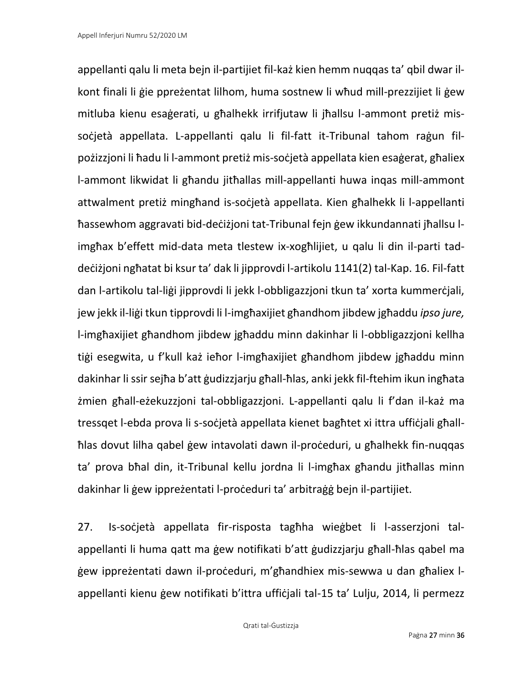appellanti qalu li meta bejn il-partijiet fil-każ kien hemm nuqqas ta' qbil dwar ilkont finali li ġie ppreżentat lilhom, huma sostnew li wħud mill-prezzijiet li ġew mitluba kienu esaġerati, u għalhekk irrifjutaw li jħallsu l-ammont pretiż missoċjetà appellata. L-appellanti qalu li fil-fatt it-Tribunal tahom raġun filpożizzjoni li ħadu li l-ammont pretiż mis-soċjetà appellata kien esaġerat, għaliex l-ammont likwidat li għandu jitħallas mill-appellanti huwa inqas mill-ammont attwalment pretiż mingħand is-soċjetà appellata. Kien għalhekk li l-appellanti ħassewhom aggravati bid-deċiżjoni tat-Tribunal fejn ġew ikkundannati jħallsu limgħax b'effett mid-data meta tlestew ix-xogħlijiet, u qalu li din il-parti taddeċiżjoni ngħatat bi ksur ta' dak li jipprovdi l-artikolu 1141(2) tal-Kap. 16. Fil-fatt dan l-artikolu tal-liġi jipprovdi li jekk l-obbligazzjoni tkun ta' xorta kummerċjali, jew jekk il-liġi tkun tipprovdi li l-imgħaxijiet għandhom jibdew jgħaddu *ipso jure,*  l-imgħaxijiet għandhom jibdew jgħaddu minn dakinhar li l-obbligazzjoni kellha tiġi esegwita, u f'kull każ ieħor l-imgħaxijiet għandhom jibdew jgħaddu minn dakinhar li ssir sejħa b'att ġudizzjarju għall-ħlas, anki jekk fil-ftehim ikun ingħata żmien għall-eżekuzzjoni tal-obbligazzjoni. L-appellanti qalu li f'dan il-każ ma tressqet l-ebda prova li s-soċjetà appellata kienet bagħtet xi ittra uffiċjali għallħlas dovut lilha qabel ġew intavolati dawn il-proċeduri, u għalhekk fin-nuqqas ta' prova bħal din, it-Tribunal kellu jordna li l-imgħax għandu jitħallas minn dakinhar li ġew ippreżentati l-proċeduri ta' arbitraġġ bejn il-partijiet.

27. Is-soċjetà appellata fir-risposta tagħha wieġbet li l-asserzjoni talappellanti li huma qatt ma ġew notifikati b'att ġudizzjarju għall-ħlas qabel ma ġew ippreżentati dawn il-proċeduri, m'għandhiex mis-sewwa u dan għaliex lappellanti kienu ġew notifikati b'ittra uffiċjali tal-15 ta' Lulju, 2014, li permezz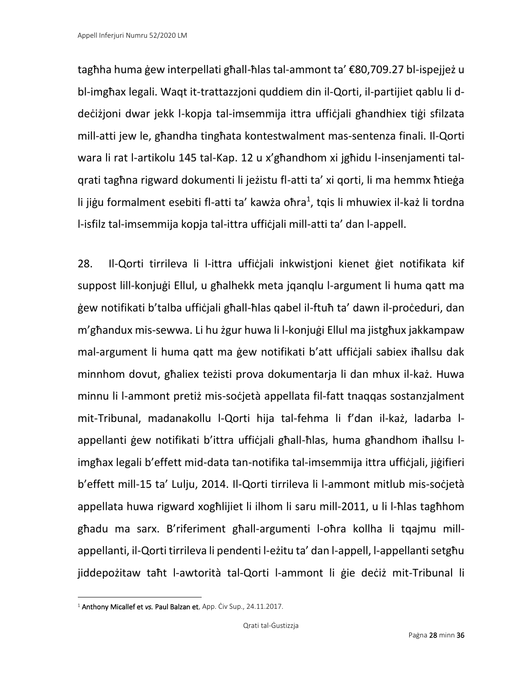tagħha huma ġew interpellati għall-ħlas tal-ammont ta' €80,709.27 bl-ispejjeż u bl-imgħax legali. Waqt it-trattazzjoni quddiem din il-Qorti, il-partijiet qablu li ddeċiżjoni dwar jekk l-kopja tal-imsemmija ittra uffiċjali għandhiex tiġi sfilzata mill-atti jew le, għandha tingħata kontestwalment mas-sentenza finali. Il-Qorti wara li rat l-artikolu 145 tal-Kap. 12 u x'għandhom xi jgħidu l-insenjamenti talqrati tagħna rigward dokumenti li jeżistu fl-atti ta' xi qorti, li ma hemmx ħtieġa li jiġu formalment esebiti fl-atti ta' kawża oħra<sup>1</sup>, tqis li mhuwiex il-każ li tordna l-isfilz tal-imsemmija kopja tal-ittra uffiċjali mill-atti ta' dan l-appell.

28. Il-Qorti tirrileva li l-ittra ufficjali inkwistjoni kienet giet notifikata kif suppost lill-konjuġi Ellul, u għalhekk meta jqanqlu l-argument li huma qatt ma ġew notifikati b'talba uffiċjali għall-ħlas qabel il-ftuħ ta' dawn il-proċeduri, dan m'għandux mis-sewwa. Li hu żgur huwa li l-konjuġi Ellul ma jistgħux jakkampaw mal-argument li huma qatt ma ġew notifikati b'att uffiċjali sabiex iħallsu dak minnhom dovut, għaliex teżisti prova dokumentarja li dan mhux il-każ. Huwa minnu li l-ammont pretiż mis-soċjetà appellata fil-fatt tnaqqas sostanzjalment mit-Tribunal, madanakollu l-Qorti hija tal-fehma li f'dan il-każ, ladarba lappellanti ġew notifikati b'ittra uffiċjali għall-ħlas, huma għandhom iħallsu limgħax legali b'effett mid-data tan-notifika tal-imsemmija ittra uffiċjali, jiġifieri b'effett mill-15 ta' Lulju, 2014. Il-Qorti tirrileva li l-ammont mitlub mis-soċjetà appellata huwa rigward xogħlijiet li ilhom li saru mill-2011, u li l-ħlas tagħhom għadu ma sarx. B'riferiment għall-argumenti l-oħra kollha li tqajmu millappellanti, il-Qorti tirrileva li pendenti l-eżitu ta' dan l-appell, l-appellanti setgħu jiddepożitaw taħt l-awtorità tal-Qorti l-ammont li ġie deċiż mit-Tribunal li

<sup>1</sup> Anthony Micallef et *vs.* Paul Balzan et, App. Ċiv Sup., 24.11.2017.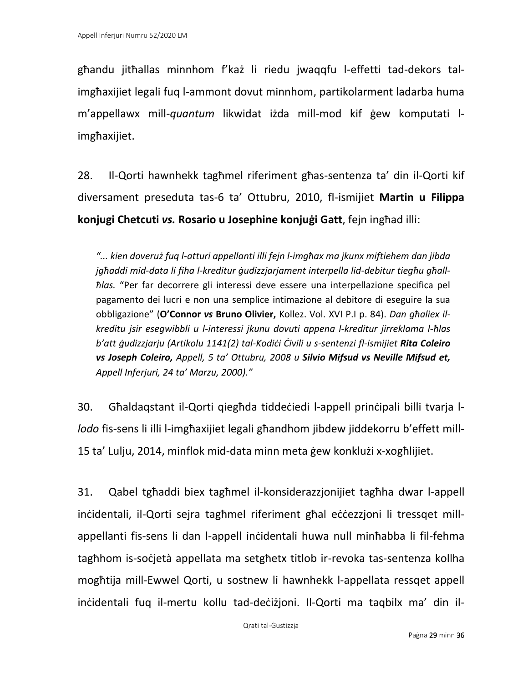għandu jitħallas minnhom f'każ li riedu jwaqqfu l-effetti tad-dekors talimgħaxijiet legali fuq l-ammont dovut minnhom, partikolarment ladarba huma m'appellawx mill-*quantum* likwidat iżda mill-mod kif ġew komputati limgħaxijiet.

28. Il-Qorti hawnhekk tagħmel riferiment għas-sentenza ta' din il-Qorti kif diversament preseduta tas-6 ta' Ottubru, 2010, fl-ismijiet **Martin u Filippa konjugi Chetcuti** *vs.* **Rosario u Josephine konjuġi Gatt**, fejn ingħad illi:

*"... kien doveruż fuq l-atturi appellanti illi fejn l-imgħax ma jkunx miftiehem dan jibda jgħaddi mid-data li fiha l-kreditur ġudizzjarjament interpella lid-debitur tiegħu għallħlas.* "Per far decorrere gli interessi deve essere una interpellazione specifica pel pagamento dei lucri e non una semplice intimazione al debitore di eseguire la sua obbligazione" (**O'Connor** *vs* **Bruno Olivier,** Kollez. Vol. XVI P.I p. 84). *Dan għaliex ilkreditu jsir esegwibbli u l-interessi jkunu dovuti appena l-kreditur jirreklama l-ħlas b'att ġudizzjarju (Artikolu 1141(2) tal-Kodiċi Ċivili u s-sentenzi fl-ismijiet Rita Coleiro vs Joseph Coleiro, Appell, 5 ta' Ottubru, 2008 u Silvio Mifsud vs Neville Mifsud et, Appell Inferjuri, 24 ta' Marzu, 2000)."*

30. Għaldaqstant il-Qorti qiegħda tiddeċiedi l-appell prinċipali billi tvarja l*lodo* fis-sens li illi l-imgħaxijiet legali għandhom jibdew jiddekorru b'effett mill-15 ta' Lulju, 2014, minflok mid-data minn meta ġew konklużi x-xogħlijiet.

31. Qabel tgħaddi biex tagħmel il-konsiderazzjonijiet tagħha dwar l-appell inċidentali, il-Qorti sejra tagħmel riferiment għal eċċezzjoni li tressqet millappellanti fis-sens li dan l-appell inċidentali huwa null minħabba li fil-fehma tagħhom is-soċjetà appellata ma setgħetx titlob ir-revoka tas-sentenza kollha mogħtija mill-Ewwel Qorti, u sostnew li hawnhekk l-appellata ressqet appell inċidentali fuq il-mertu kollu tad-deċiżjoni. Il-Qorti ma taqbilx ma' din il-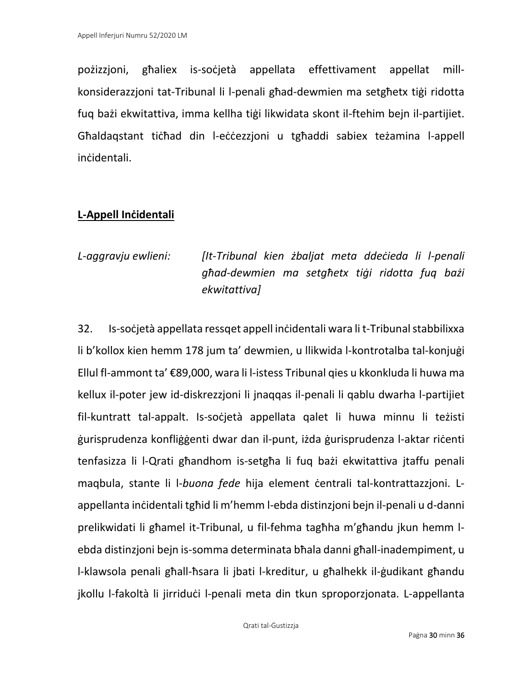pożizzjoni, għaliex is-soċjetà appellata effettivament appellat millkonsiderazzjoni tat-Tribunal li l-penali għad-dewmien ma setgħetx tiġi ridotta fuq bażi ekwitattiva, imma kellha tiġi likwidata skont il-ftehim bejn il-partijiet. Għaldaqstant tiċħad din l-eċċezzjoni u tgħaddi sabiex teżamina l-appell inċidentali.

### **L-Appell Inċidentali**

*L-aggravju ewlieni: [It-Tribunal kien żbaljat meta ddeċieda li l-penali għad-dewmien ma setgħetx tiġi ridotta fuq bażi ekwitattiva]*

32. Is-soċjetà appellata ressqet appell inċidentali wara li t-Tribunal stabbilixxa li b'kollox kien hemm 178 jum ta' dewmien, u llikwida l-kontrotalba tal-konjuġi Ellul fl-ammont ta' €89,000, wara li l-istess Tribunal qies u kkonkluda li huwa ma kellux il-poter jew id-diskrezzjoni li jnaqqas il-penali li qablu dwarha l-partijiet fil-kuntratt tal-appalt. Is-soċjetà appellata qalet li huwa minnu li teżisti ġurisprudenza konfliġġenti dwar dan il-punt, iżda ġurisprudenza l-aktar riċenti tenfasizza li l-Qrati għandhom is-setgħa li fuq bażi ekwitattiva jtaffu penali maqbula, stante li l-*buona fede* hija element ċentrali tal-kontrattazzjoni. Lappellanta inċidentali tgħid li m'hemm l-ebda distinzjoni bejn il-penali u d-danni prelikwidati li għamel it-Tribunal, u fil-fehma tagħha m'għandu jkun hemm lebda distinzjoni bejn is-somma determinata bħala danni għall-inadempiment, u l-klawsola penali għall-ħsara li jbati l-kreditur, u għalhekk il-ġudikant għandu jkollu l-fakoltà li jirriduċi l-penali meta din tkun sproporzjonata. L-appellanta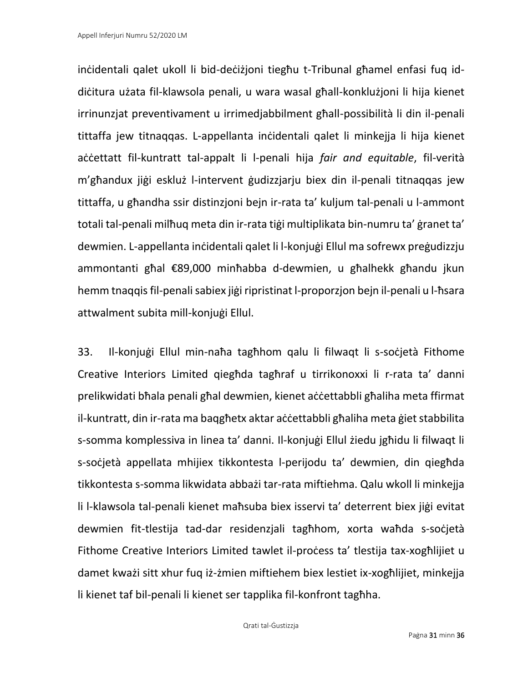inċidentali qalet ukoll li bid-deċiżjoni tiegħu t-Tribunal għamel enfasi fuq iddiċitura użata fil-klawsola penali, u wara wasal għall-konklużjoni li hija kienet irrinunzjat preventivament u irrimedjabbilment għall-possibilità li din il-penali tittaffa jew titnaqqas. L-appellanta inċidentali qalet li minkejja li hija kienet accettatt fil-kuntratt tal-appalt li l-penali hija *fair and equitable*, fil-verità m'għandux jiġi eskluż l-intervent ġudizzjarju biex din il-penali titnaqqas jew tittaffa, u għandha ssir distinzjoni bejn ir-rata ta' kuljum tal-penali u l-ammont totali tal-penali milħuq meta din ir-rata tiġi multiplikata bin-numru ta' ġranet ta' dewmien. L-appellanta inċidentali qalet li l-konjuġi Ellul ma sofrewx preġudizzju ammontanti għal €89,000 minħabba d-dewmien, u għalhekk għandu jkun hemm tnaqqisfil-penalisabiex jiġi ripristinat l-proporzjon bejn il-penali u l-ħsara attwalment subita mill-konjuġi Ellul.

33. Il-konjuġi Ellul min-naħa tagħhom qalu li filwaqt li s-soċjetà Fithome Creative Interiors Limited qiegħda tagħraf u tirrikonoxxi li r-rata ta' danni prelikwidati bħala penali għal dewmien, kienet aċċettabbli għaliha meta ffirmat il-kuntratt, din ir-rata ma baqgħetx aktar aċċettabbli għaliha meta ġiet stabbilita s-somma komplessiva in linea ta' danni. Il-konjuġi Ellul żiedu jgħidu li filwaqt li s-soċjetà appellata mhijiex tikkontesta l-perijodu ta' dewmien, din qiegħda tikkontesta s-somma likwidata abbażi tar-rata miftiehma. Qalu wkoll li minkejja li l-klawsola tal-penali kienet maħsuba biex isservi ta' deterrent biex jiġi evitat dewmien fit-tlestija tad-dar residenzjali tagħhom, xorta waħda s-soċjetà Fithome Creative Interiors Limited tawlet il-process ta' tlestija tax-xoghlijiet u damet kważi sitt xhur fuq iż-żmien miftiehem biex lestiet ix-xogħlijiet, minkejja li kienet taf bil-penali li kienet ser tapplika fil-konfront tagħha.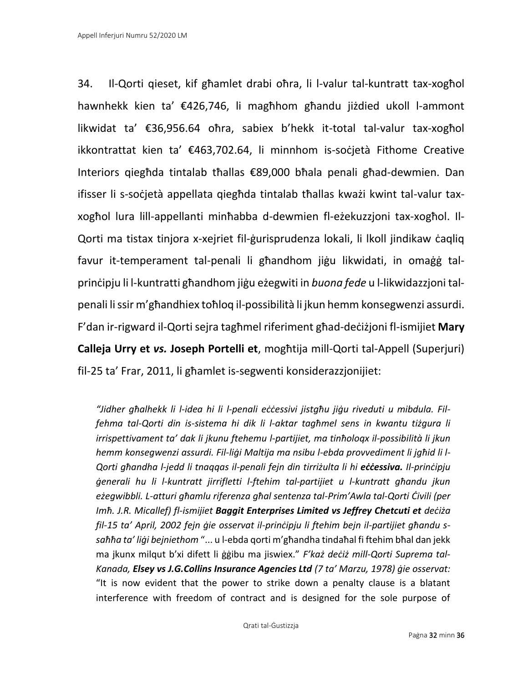34. Il-Qorti qieset, kif għamlet drabi oħra, li l-valur tal-kuntratt tax-xogħol hawnhekk kien ta' €426,746, li magħhom għandu jiżdied ukoll l-ammont likwidat ta' €36,956.64 oħra, sabiex b'hekk it-total tal-valur tax-xogħol ikkontrattat kien ta' €463,702.64, li minnhom is-soċjetà Fithome Creative Interiors qiegħda tintalab tħallas €89,000 bħala penali għad-dewmien. Dan ifisser li s-soċjetà appellata qiegħda tintalab tħallas kważi kwint tal-valur taxxogħol lura lill-appellanti minħabba d-dewmien fl-eżekuzzjoni tax-xogħol. Il-Qorti ma tistax tinjora x-xejriet fil-ġurisprudenza lokali, li lkoll jindikaw ċaqliq favur it-temperament tal-penali li għandhom jiġu likwidati, in omaġġ talprinċipju li l-kuntratti għandhom jiġu eżegwiti in *buona fede* u l-likwidazzjoni talpenali li ssir m'għandhiex toħloq il-possibilità li jkun hemm konsegwenzi assurdi. F'dan ir-rigward il-Qorti sejra tagħmel riferiment għad-deċiżjoni fl-ismijiet **Mary Calleja Urry et** *vs.* **Joseph Portelli et**, mogħtija mill-Qorti tal-Appell (Superjuri) fil-25 ta' Frar, 2011, li għamlet is-segwenti konsiderazzjonijiet:

*"Jidher għalhekk li l-idea hi li l-penali eċċessivi jistgħu jiġu riveduti u mibdula. Filfehma tal-Qorti din is-sistema hi dik li l-aktar tagħmel sens in kwantu tiżgura li irrispettivament ta' dak li jkunu ftehemu l-partijiet, ma tinħoloqx il-possibilità li jkun hemm konsegwenzi assurdi. Fil-liġi Maltija ma nsibu l-ebda provvediment li jgħid li l-Qorti għandha l-jedd li tnaqqas il-penali fejn din tirriżulta li hi eċċessiva. Il-prinċipju ġenerali hu li l-kuntratt jirrifletti l-ftehim tal-partijiet u l-kuntratt għandu jkun eżegwibbli. L-atturi għamlu riferenza għal sentenza tal-Prim'Awla tal-Qorti Ċivili (per Imħ. J.R. Micallef) fl-ismijiet Baggit Enterprises Limited vs Jeffrey Chetcuti et deċiża fil-15 ta' April, 2002 fejn ġie osservat il-prinċipju li ftehim bejn il-partijiet għandu ssaħħa ta' liġi bejniethom* "... u l-ebda qorti m'għandha tindaħal fi ftehim bħal dan jekk ma jkunx milqut b'xi difett li ġġibu ma jiswiex." *F'każ deċiż mill-Qorti Suprema tal-Kanada, Elsey vs J.G.Collins Insurance Agencies Ltd (7 ta' Marzu, 1978) ġie osservat:* "It is now evident that the power to strike down a penalty clause is a blatant interference with freedom of contract and is designed for the sole purpose of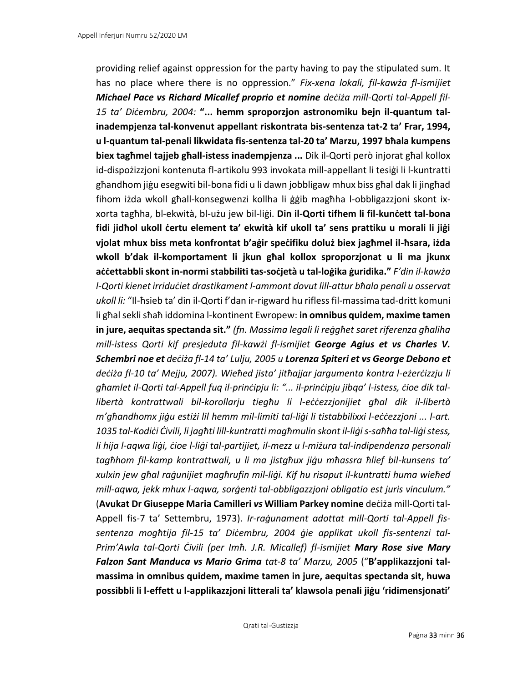providing relief against oppression for the party having to pay the stipulated sum. It has no place where there is no oppression." *Fix-xena lokali, fil-kawża fl-ismijiet Michael Pace vs Richard Micallef proprio et nomine deċiża mill-Qorti tal-Appell fil-15 ta' Diċembru, 2004:* **"... hemm sproporzjon astronomiku bejn il-quantum talinadempjenza tal-konvenut appellant riskontrata bis-sentenza tat-2 ta' Frar, 1994, u l-quantum tal-penali likwidata fis-sentenza tal-20 ta' Marzu, 1997 bħala kumpens biex tagħmel tajjeb għall-istess inadempjenza ...** Dik il-Qorti però injorat għal kollox id-dispożizzjoni kontenuta fl-artikolu 993 invokata mill-appellant li tesiġi li l-kuntratti għandhom jiġu esegwiti bil-bona fidi u li dawn jobbligaw mhux biss għal dak li jingħad fihom iżda wkoll għall-konsegwenzi kollha li ġġib magħha l-obbligazzjoni skont ixxorta tagħha, bl-ekwità, bl-użu jew bil-liġi. **Din il-Qorti tifhem li fil-kunċett tal-bona fidi jidħol ukoll ċertu element ta' ekwità kif ukoll ta' sens prattiku u morali li jiġi vjolat mhux biss meta konfrontat b'aġir speċifiku doluż biex jagħmel il-ħsara, iżda wkoll b'dak il-komportament li jkun għal kollox sproporzjonat u li ma jkunx aċċettabbli skont in-normi stabbiliti tas-soċjetà u tal-loġika ġuridika."** *F'din il-kawża l-Qorti kienet irriduċiet drastikament l-ammont dovut lill-attur bħala penali u osservat ukoll li:* "Il-ħsieb ta' din il-Qorti f'dan ir-rigward hu rifless fil-massima tad-dritt komuni li għal sekli sħaħ iddomina l-kontinent Ewropew: **in omnibus quidem, maxime tamen in jure, aequitas spectanda sit."** *(fn. Massima legali li reġgħet saret riferenza għaliha mill-istess Qorti kif presjeduta fil-kawżi fl-ismijiet George Agius et vs Charles V. Schembri noe et deċiża fl-14 ta' Lulju, 2005 u Lorenza Spiteri et vs George Debono et deċiża fl-10 ta' Mejju, 2007). Wieħed jista' jitħajjar jargumenta kontra l-eżerċizzju li għamlet il-Qorti tal-Appell fuq il-prinċipju li: "... il-prinċipju jibqa' l-istess, ċioe dik tallibertà kontrattwali bil-korollarju tiegħu li l-eċċezzjonijiet għal dik il-libertà m'għandhomx jiġu estiżi lil hemm mil-limiti tal-liġi li tistabbilixxi l-eċċezzjoni ... l-art. 1035 tal-Kodiċi Ċivili, li jagħti lill-kuntratti magħmulin skont il-liġi s-saħħa tal-liġi stess, li hija l-aqwa liġi, ċioe l-liġi tal-partijiet, il-mezz u l-miżura tal-indipendenza personali tagħhom fil-kamp kontrattwali, u li ma jistgħux jiġu mħassra ħlief bil-kunsens ta' xulxin jew għal raġunijiet magħrufin mil-liġi. Kif hu risaput il-kuntratti huma wieħed mill-aqwa, jekk mhux l-aqwa, sorġenti tal-obbligazzjoni obligatio est juris vinculum."* (**Avukat Dr Giuseppe Maria Camilleri** *vs* **William Parkey nomine** deċiża mill-Qorti tal-Appell fis-7 ta' Settembru, 1973). *Ir-raġunament adottat mill-Qorti tal-Appell fissentenza mogħtija fil-15 ta' Diċembru, 2004 ġie applikat ukoll fis-sentenzi tal-Prim'Awla tal-Qorti Ċivili (per Imħ. J.R. Micallef) fl-ismijiet Mary Rose sive Mary Falzon Sant Manduca vs Mario Grima tat-8 ta' Marzu, 2005* ("**B'applikazzjoni talmassima in omnibus quidem, maxime tamen in jure, aequitas spectanda sit, huwa possibbli li l-effett u l-applikazzjoni litterali ta' klawsola penali jiġu 'ridimensjonati'**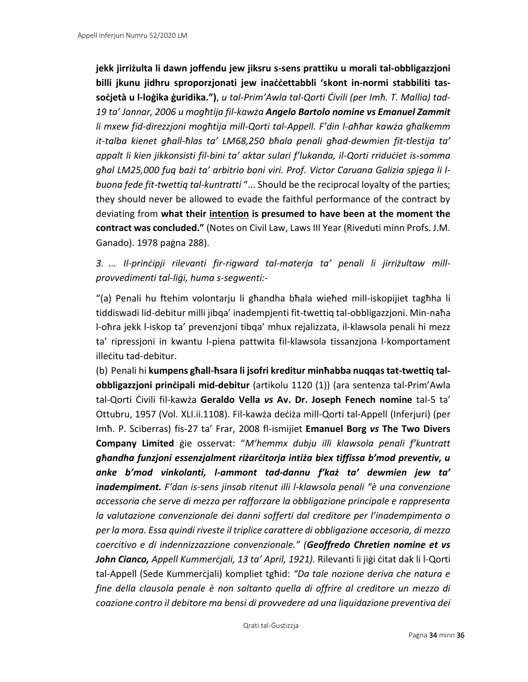**jekk jirriżulta li dawn joffendu jew jiksru s-sens prattiku u morali tal-obbligazzjoni billi jkunu jidhru sproporzjonati jew inaċċettabbli 'skont in-normi stabbiliti tassoċjetà u l-loġika ġuridika.")**, *u tal-Prim'Awla tal-Qorti Ċivili (per Imħ. T. Mallia) tad-19 ta' Jannar, 2006 u mogħtija fil-kawża Angelo Bartolo nomine vs Emanuel Zammit li mxew fid-direzzjoni mogħtija mill-Qorti tal-Appell. F'din l-aħħar kawża għalkemm it-talba kienet għall-ħlas ta' LM68,250 bħala penali għad-dewmien fit-tlestija ta' appalt li kien jikkonsisti fil-bini ta' aktar sulari f'lukanda, il-Qorti rriduċiet is-somma għal LM25,000 fuq bażi ta' arbitrio boni viri. Prof. Victor Caruana Galizia spjega li lbuona fede fit-twettiq tal-kuntratti* "... Should be the reciprocal loyalty of the parties; they should never be allowed to evade the faithful performance of the contract by deviating from **what their intention is presumed to have been at the moment the contract was concluded."** (Notes on Civil Law, Laws III Year (Riveduti minn Profs. J.M. Ganado). 1978 paġna 288).

*3. ... Il-prinċipji rilevanti fir-rigward tal-materja ta' penali li jirriżultaw millprovvedimenti tal-liġi, huma s-segwenti:-*

"(a) Penali hu ftehim volontarju li għandha bħala wieħed mill-iskopijiet tagħha li tiddiswadi lid-debitur milli jibqa' inadempjenti fit-twettiq tal-obbligazzjoni. Min-naħa l-oħra jekk l-iskop ta' prevenzjoni tibqa' mhux rejalizzata, il-klawsola penali hi mezz ta' ripressjoni in kwantu l-piena pattwita fil-klawsola tissanzjona l-komportament illeċitu tad-debitur.

(b) Penali hi **kumpens għall-ħsara li jsofri kreditur minħabba nuqqas tat-twettiq talobbligazzjoni prinċipali mid-debitur** (artikolu 1120 (1)) (ara sentenza tal-Prim'Awla tal-Qorti Ċivili fil-kawża **Geraldo Vella** *vs* **Av. Dr. Joseph Fenech nomine** tal-5 ta' Ottubru, 1957 (Vol. XLI.ii.1108). Fil-kawża deċiża mill-Qorti tal-Appell (Inferjuri) (per Imħ. P. Sciberras) fis-27 ta' Frar, 2008 fl-ismijiet **Emanuel Borg** *vs* **The Two Divers Company Limited** ġie osservat: "*M'hemmx dubju illi klawsola penali f'kuntratt għandha funzjoni essenzjalment riżarċitorja intiża biex tiffissa b'mod preventiv, u anke b'mod vinkolanti, l-ammont tad-dannu f'każ ta' dewmien jew ta' inadempiment. F'dan is-sens jinsab ritenut illi l-klawsola penali "è una convenzione accessoria che serve di mezzo per rafforzare la obbligazione principale e rappresenta la valutazione convenzionale dei danni sofferti dal creditore per l'inadempimento o per la mora. Essa quindi riveste il triplice carattere di obbligazione accesoria, di mezzo coercitivo e di indennizzazzione convenzionale." (Geoffredo Chretien nomine et vs John Cianco, Appell Kummerċjali, 13 ta' April, 1921).* Rilevanti li jiġi ċitat dak li l-Qorti tal-Appell (Sede Kummerċjali) kompliet tgħid: *"Da tale nozione deriva che natura e fine della clausola penale è non soltanto quella di offrire al creditore un mezzo di coazione contro il debitore ma bensi di provvedere ad una liquidazione preventiva dei*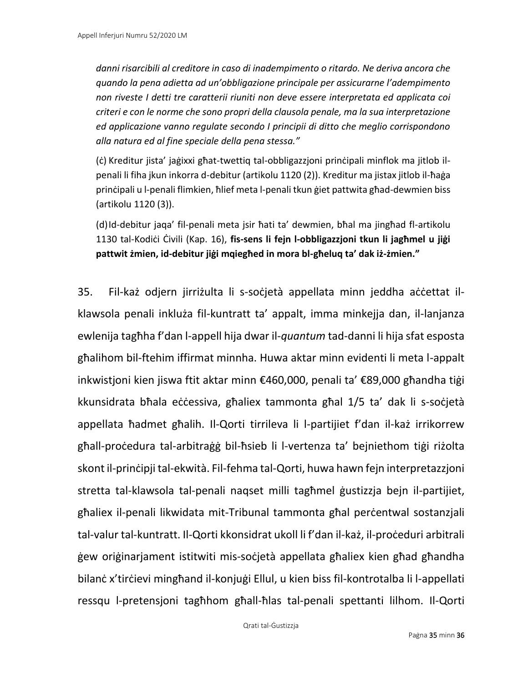*danni risarcibili al creditore in caso di inadempimento o ritardo. Ne deriva ancora che quando la pena adietta ad un'obbligazione principale per assicurarne l'adempimento non riveste I detti tre caratterii riuniti non deve essere interpretata ed applicata coi criteri e con le norme che sono propri della clausola penale, ma la sua interpretazione ed applicazione vanno regulate secondo I principii di ditto che meglio corrispondono alla natura ed al fine speciale della pena stessa."*

(ċ) Kreditur jista' jaġixxi għat-twettiq tal-obbligazzjoni prinċipali minflok ma jitlob ilpenali li fiha jkun inkorra d-debitur (artikolu 1120 (2)). Kreditur ma jistax jitlob il-ħaġa prinċipali u l-penali flimkien, ħlief meta l-penali tkun ġiet pattwita għad-dewmien biss (artikolu 1120 (3)).

(d)Id-debitur jaqa' fil-penali meta jsir ħati ta' dewmien, bħal ma jingħad fl-artikolu 1130 tal-Kodiċi Ċivili (Kap. 16), **fis-sens li fejn l-obbligazzjoni tkun li jagħmel u jiġi pattwit żmien, id-debitur jiġi mqiegħed in mora bl-għeluq ta' dak iż-żmien."**

35. Fil-każ odjern jirriżulta li s-soċjetà appellata minn jeddha aċċettat ilklawsola penali inkluża fil-kuntratt ta' appalt, imma minkejja dan, il-lanjanza ewlenija tagħha f'dan l-appell hija dwar il-*quantum* tad-danni li hija sfat esposta għalihom bil-ftehim iffirmat minnha. Huwa aktar minn evidenti li meta l-appalt inkwistjoni kien jiswa ftit aktar minn €460,000, penali ta' €89,000 għandha tiġi kkunsidrata bħala eċċessiva, għaliex tammonta għal 1/5 ta' dak li s-soċjetà appellata ħadmet għalih. Il-Qorti tirrileva li l-partijiet f'dan il-każ irrikorrew għall-proċedura tal-arbitraġġ bil-ħsieb li l-vertenza ta' bejniethom tiġi riżolta skont il-prinċipji tal-ekwità. Fil-fehma tal-Qorti, huwa hawn fejn interpretazzjoni stretta tal-klawsola tal-penali naqset milli tagħmel ġustizzja bejn il-partijiet, għaliex il-penali likwidata mit-Tribunal tammonta għal perċentwal sostanzjali tal-valur tal-kuntratt. Il-Qorti kkonsidrat ukoll li f'dan il-każ, il-proċeduri arbitrali ġew oriġinarjament istitwiti mis-soċjetà appellata għaliex kien għad għandha bilanċ x'tirċievi mingħand il-konjuġi Ellul, u kien biss fil-kontrotalba li l-appellati ressqu l-pretensjoni tagħhom għall-ħlas tal-penali spettanti lilhom. Il-Qorti